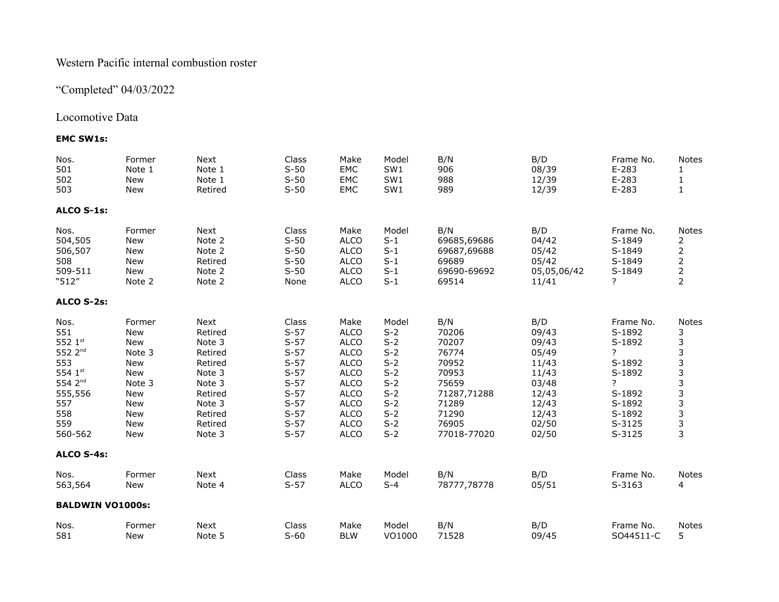## Western Pacific internal combustion roster

# "Completed" 04/03/2022

## Locomotive Data

## **EMC SW1s:**

| Nos.<br>501<br>502<br>503                                                                                                  | Former<br>Note 1<br>New<br>New                                                                   | Next<br>Note 1<br>Note 1<br>Retired                                                                                      | Class<br>$S-50$<br>$S-50$<br>$S-50$                                                                                 | Make<br>EMC<br>EMC<br>EMC                                                                                                                                                 | Model<br>SW1<br>SW1<br>SW1                                                                               | B/N<br>906<br>988<br>989                                                                                           | B/D<br>08/39<br>12/39<br>12/39                                                                         | Frame No.<br>$E-283$<br>$E-283$<br>$E-283$                                                                    | <b>Notes</b><br>1<br>$\mathbf{1}$                                                                  |
|----------------------------------------------------------------------------------------------------------------------------|--------------------------------------------------------------------------------------------------|--------------------------------------------------------------------------------------------------------------------------|---------------------------------------------------------------------------------------------------------------------|---------------------------------------------------------------------------------------------------------------------------------------------------------------------------|----------------------------------------------------------------------------------------------------------|--------------------------------------------------------------------------------------------------------------------|--------------------------------------------------------------------------------------------------------|---------------------------------------------------------------------------------------------------------------|----------------------------------------------------------------------------------------------------|
| ALCO S-1s:                                                                                                                 |                                                                                                  |                                                                                                                          |                                                                                                                     |                                                                                                                                                                           |                                                                                                          |                                                                                                                    |                                                                                                        |                                                                                                               |                                                                                                    |
| Nos.<br>504,505<br>506,507<br>508<br>509-511<br>"512"                                                                      | Former<br>New<br>New<br>New<br>New<br>Note 2                                                     | Next<br>Note 2<br>Note 2<br>Retired<br>Note 2<br>Note 2                                                                  | Class<br>$S-50$<br>$S-50$<br>$S-50$<br>$S-50$<br>None                                                               | Make<br><b>ALCO</b><br><b>ALCO</b><br><b>ALCO</b><br><b>ALCO</b><br><b>ALCO</b>                                                                                           | Model<br>$S-1$<br>$S-1$<br>$S-1$<br>$S-1$<br>$S-1$                                                       | B/N<br>69685,69686<br>69687,69688<br>69689<br>69690-69692<br>69514                                                 | B/D<br>04/42<br>05/42<br>05/42<br>05,05,06/42<br>11/41                                                 | Frame No.<br>S-1849<br>S-1849<br>S-1849<br>S-1849<br>?                                                        | <b>Notes</b><br>2<br>$\overline{c}$<br>$\overline{\mathbf{c}}$<br>$\overline{c}$<br>$\overline{2}$ |
| ALCO S-2s:                                                                                                                 |                                                                                                  |                                                                                                                          |                                                                                                                     |                                                                                                                                                                           |                                                                                                          |                                                                                                                    |                                                                                                        |                                                                                                               |                                                                                                    |
| Nos.<br>551<br>552 1st<br>552 2 <sup>nd</sup><br>553<br>554 $1^{st}$<br>554 2nd<br>555,556<br>557<br>558<br>559<br>560-562 | Former<br>New<br>New<br>Note 3<br>New<br>New<br>Note 3<br>New<br>New<br>New<br>New<br><b>New</b> | Next<br>Retired<br>Note 3<br>Retired<br>Retired<br>Note 3<br>Note 3<br>Retired<br>Note 3<br>Retired<br>Retired<br>Note 3 | Class<br>$S-57$<br>$S-57$<br>$S-57$<br>$S-57$<br>$S-57$<br>$S-57$<br>$S-57$<br>$S-57$<br>$S-57$<br>$S-57$<br>$S-57$ | Make<br><b>ALCO</b><br><b>ALCO</b><br><b>ALCO</b><br><b>ALCO</b><br><b>ALCO</b><br><b>ALCO</b><br><b>ALCO</b><br><b>ALCO</b><br><b>ALCO</b><br><b>ALCO</b><br><b>ALCO</b> | Model<br>$S-2$<br>$S-2$<br>$S-2$<br>$S-2$<br>$S-2$<br>$S-2$<br>$S-2$<br>$S-2$<br>$S-2$<br>$S-2$<br>$S-2$ | B/N<br>70206<br>70207<br>76774<br>70952<br>70953<br>75659<br>71287,71288<br>71289<br>71290<br>76905<br>77018-77020 | B/D<br>09/43<br>09/43<br>05/49<br>11/43<br>11/43<br>03/48<br>12/43<br>12/43<br>12/43<br>02/50<br>02/50 | Frame No.<br>S-1892<br>S-1892<br>7<br>S-1892<br>S-1892<br>?<br>S-1892<br>S-1892<br>S-1892<br>S-3125<br>S-3125 | <b>Notes</b><br>3<br>3<br>3<br>3<br>$\begin{array}{c} 3 \\ 3 \\ 3 \\ 3 \end{array}$<br>3<br>3<br>3 |
| ALCO S-4s:                                                                                                                 |                                                                                                  |                                                                                                                          |                                                                                                                     |                                                                                                                                                                           |                                                                                                          |                                                                                                                    |                                                                                                        |                                                                                                               |                                                                                                    |
| Nos.<br>563,564                                                                                                            | Former<br><b>New</b>                                                                             | Next<br>Note 4                                                                                                           | Class<br>$S-57$                                                                                                     | Make<br><b>ALCO</b>                                                                                                                                                       | Model<br>$S-4$                                                                                           | B/N<br>78777,78778                                                                                                 | B/D<br>05/51                                                                                           | Frame No.<br>S-3163                                                                                           | <b>Notes</b><br>4                                                                                  |
| <b>BALDWIN VO1000s:</b>                                                                                                    |                                                                                                  |                                                                                                                          |                                                                                                                     |                                                                                                                                                                           |                                                                                                          |                                                                                                                    |                                                                                                        |                                                                                                               |                                                                                                    |
| Nos.<br>581                                                                                                                | Former<br><b>New</b>                                                                             | Next<br>Note 5                                                                                                           | Class<br>$S-60$                                                                                                     | Make<br><b>BLW</b>                                                                                                                                                        | Model<br>VO1000                                                                                          | B/N<br>71528                                                                                                       | B/D<br>09/45                                                                                           | Frame No.<br>SO44511-C                                                                                        | <b>Notes</b><br>5                                                                                  |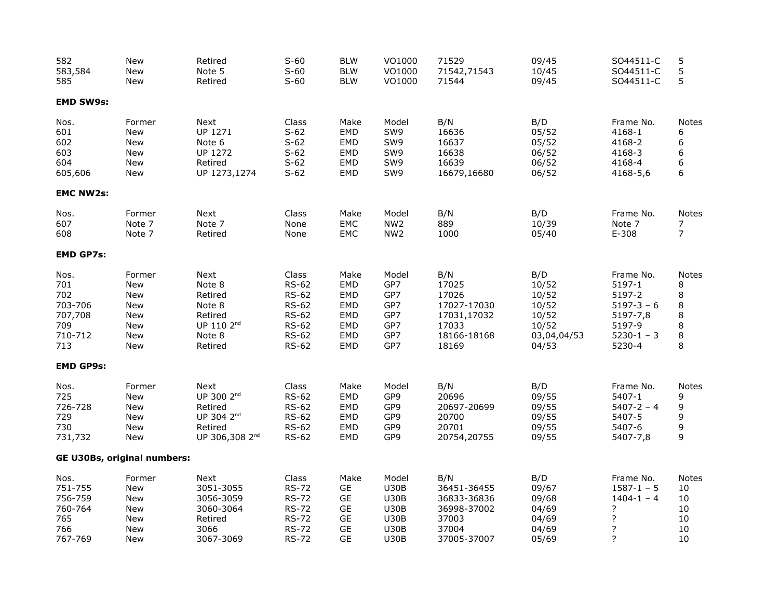| 582<br>583,584<br>585                                             | <b>New</b><br><b>New</b><br><b>New</b>                                              | Retired<br>Note 5<br>Retired                                                                                 | $S-60$<br>$S-60$<br>$S-60$                                                                                            | <b>BLW</b><br><b>BLW</b><br><b>BLW</b>                                     | VO1000<br>VO1000<br>VO1000                                                                      | 71529<br>71542,71543<br>71544                                                        | 09/45<br>10/45<br>09/45                                                  | SO44511-C<br>SO44511-C<br>SO44511-C                                                         | 5<br>5<br>5                                                                   |
|-------------------------------------------------------------------|-------------------------------------------------------------------------------------|--------------------------------------------------------------------------------------------------------------|-----------------------------------------------------------------------------------------------------------------------|----------------------------------------------------------------------------|-------------------------------------------------------------------------------------------------|--------------------------------------------------------------------------------------|--------------------------------------------------------------------------|---------------------------------------------------------------------------------------------|-------------------------------------------------------------------------------|
| <b>EMD SW9s:</b>                                                  |                                                                                     |                                                                                                              |                                                                                                                       |                                                                            |                                                                                                 |                                                                                      |                                                                          |                                                                                             |                                                                               |
| Nos.<br>601<br>602<br>603<br>604<br>605,606                       | Former<br>New<br>New<br><b>New</b><br><b>New</b><br>New                             | Next<br>UP 1271<br>Note 6<br>UP 1272<br>Retired<br>UP 1273,1274                                              | Class<br>$S-62$<br>$S-62$<br>$S-62$<br>$S-62$<br>$S-62$                                                               | Make<br>EMD<br>EMD<br>EMD<br><b>EMD</b><br><b>EMD</b>                      | Model<br>SW9<br>SW9<br>SW9<br>SW9<br>SW9                                                        | B/N<br>16636<br>16637<br>16638<br>16639<br>16679,16680                               | B/D<br>05/52<br>05/52<br>06/52<br>06/52<br>06/52                         | Frame No.<br>4168-1<br>4168-2<br>4168-3<br>4168-4<br>4168-5,6                               | <b>Notes</b><br>6<br>6<br>6<br>6<br>6                                         |
| <b>EMC NW2s:</b>                                                  |                                                                                     |                                                                                                              |                                                                                                                       |                                                                            |                                                                                                 |                                                                                      |                                                                          |                                                                                             |                                                                               |
| Nos.<br>607<br>608                                                | Former<br>Note 7<br>Note 7                                                          | Next<br>Note 7<br>Retired                                                                                    | Class<br>None<br>None                                                                                                 | Make<br>EMC<br>EMC                                                         | Model<br>NW <sub>2</sub><br>NW <sub>2</sub>                                                     | B/N<br>889<br>1000                                                                   | B/D<br>10/39<br>05/40                                                    | Frame No.<br>Note 7<br>$E-308$                                                              | <b>Notes</b><br>7<br>7                                                        |
| <b>EMD GP7s:</b>                                                  |                                                                                     |                                                                                                              |                                                                                                                       |                                                                            |                                                                                                 |                                                                                      |                                                                          |                                                                                             |                                                                               |
| Nos.<br>701<br>702<br>703-706<br>707,708<br>709<br>710-712<br>713 | Former<br>New<br><b>New</b><br><b>New</b><br><b>New</b><br>New<br>New<br><b>New</b> | Next<br>Note 8<br>Retired<br>Note 8<br>Retired<br>UP 110 2 <sup>nd</sup><br>Note 8<br>Retired                | Class<br><b>RS-62</b><br><b>RS-62</b><br><b>RS-62</b><br><b>RS-62</b><br><b>RS-62</b><br><b>RS-62</b><br><b>RS-62</b> | Make<br>EMD<br><b>EMD</b><br><b>EMD</b><br><b>EMD</b><br>EMD<br>EMD<br>EMD | Model<br>GP7<br>GP7<br>GP7<br>GP7<br>GP7<br>GP7<br>GP7                                          | B/N<br>17025<br>17026<br>17027-17030<br>17031,17032<br>17033<br>18166-18168<br>18169 | B/D<br>10/52<br>10/52<br>10/52<br>10/52<br>10/52<br>03,04,04/53<br>04/53 | Frame No.<br>5197-1<br>5197-2<br>$5197-3-6$<br>5197-7,8<br>5197-9<br>$5230-1 - 3$<br>5230-4 | Notes<br>8<br>$\begin{array}{c} 8 \\ 8 \end{array}$<br>8<br>8<br>$\bf 8$<br>8 |
| <b>EMD GP9s:</b>                                                  |                                                                                     |                                                                                                              |                                                                                                                       |                                                                            |                                                                                                 |                                                                                      |                                                                          |                                                                                             |                                                                               |
| Nos.<br>725<br>726-728<br>729<br>730<br>731,732                   | Former<br>New<br><b>New</b><br><b>New</b><br>New<br>New                             | Next<br>UP 300 2 <sup>nd</sup><br>Retired<br>UP 304 2 <sup>nd</sup><br>Retired<br>UP 306,308 2 <sup>nd</sup> | Class<br><b>RS-62</b><br><b>RS-62</b><br><b>RS-62</b><br><b>RS-62</b><br><b>RS-62</b>                                 | Make<br>EMD<br><b>EMD</b><br><b>EMD</b><br>EMD<br>EMD                      | Model<br>GP9<br>GP9<br>GP9<br>GP9<br>GP9                                                        | B/N<br>20696<br>20697-20699<br>20700<br>20701<br>20754,20755                         | B/D<br>09/55<br>09/55<br>09/55<br>09/55<br>09/55                         | Frame No.<br>5407-1<br>$5407 - 2 - 4$<br>5407-5<br>5407-6<br>5407-7,8                       | Notes<br>9<br>9<br>9<br>9<br>9                                                |
|                                                                   | <b>GE U30Bs, original numbers:</b>                                                  |                                                                                                              |                                                                                                                       |                                                                            |                                                                                                 |                                                                                      |                                                                          |                                                                                             |                                                                               |
| Nos.<br>751-755<br>756-759<br>760-764<br>765<br>766<br>767-769    | Former<br>New<br><b>New</b><br>New<br><b>New</b><br><b>New</b><br>New               | Next<br>3051-3055<br>3056-3059<br>3060-3064<br>Retired<br>3066<br>3067-3069                                  | Class<br><b>RS-72</b><br><b>RS-72</b><br><b>RS-72</b><br><b>RS-72</b><br><b>RS-72</b><br><b>RS-72</b>                 | Make<br>GE<br>GE<br>GE<br>GE<br>GE<br><b>GE</b>                            | Model<br><b>U30B</b><br><b>U30B</b><br><b>U30B</b><br><b>U30B</b><br><b>U30B</b><br><b>U30B</b> | B/N<br>36451-36455<br>36833-36836<br>36998-37002<br>37003<br>37004<br>37005-37007    | B/D<br>09/67<br>09/68<br>04/69<br>04/69<br>04/69<br>05/69                | Frame No.<br>$1587 - 1 - 5$<br>$1404 - 1 - 4$<br>?<br>$\overline{?}$<br>?<br>?              | Notes<br>10<br>10<br>10<br>10<br>10<br>10                                     |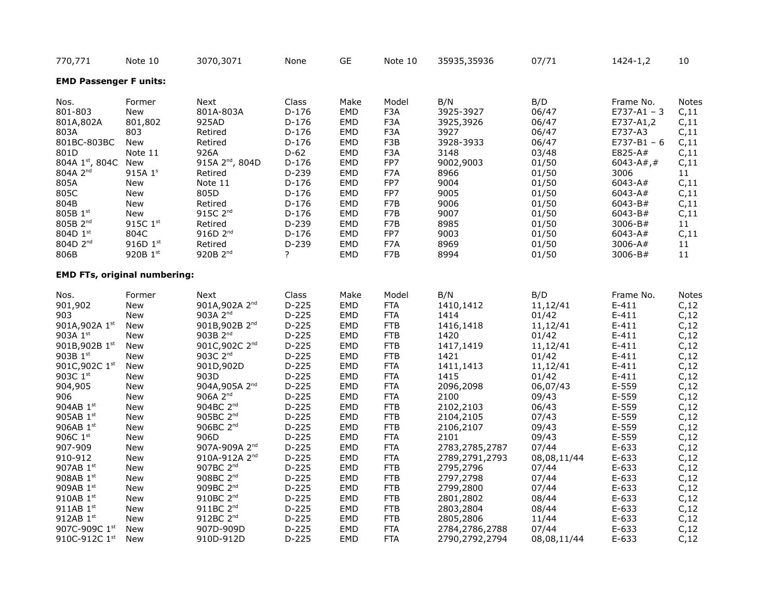| 770,771                             | Note 10    | 3070,3071                   | None    | <b>GE</b>  | Note 10          | 35935,35936    | 07/71       | 1424-1,2        | 10              |
|-------------------------------------|------------|-----------------------------|---------|------------|------------------|----------------|-------------|-----------------|-----------------|
| <b>EMD Passenger F units:</b>       |            |                             |         |            |                  |                |             |                 |                 |
| Nos.                                | Former     | Next                        | Class   | Make       | Model            | B/N            | B/D         | Frame No.       | <b>Notes</b>    |
| 801-803                             | New        | 801A-803A                   | $D-176$ | EMD        | F3A              | 3925-3927      | 06/47       | $E737 - A1 - 3$ | C, 11           |
| 801A,802A                           | 801,802    | 925AD                       | $D-176$ | EMD        | F <sub>3</sub> A | 3925,3926      | 06/47       | E737-A1,2       | C, 11           |
| 803A                                | 803        | Retired                     | $D-176$ | EMD        | F <sub>3</sub> A | 3927           | 06/47       | E737-A3         | C, 11           |
| 801BC-803BC                         | New        | Retired                     | $D-176$ | EMD        | F3B              | 3928-3933      | 06/47       | $E737 - B1 - 6$ | C, 11           |
| 801D                                | Note 11    | 926A                        | $D-62$  | EMD        | F <sub>3</sub> A | 3148           | 03/48       | E825-A#         | C, 11           |
| 804A 1st, 804C                      | New        | 915A 2 <sup>nd</sup> , 804D | $D-176$ | EMD        | FP7              | 9002,9003      | 01/50       | 6043-A#,#       | C, 11           |
| 804A 2 <sup>nd</sup>                | 915A 1s    | Retired                     | D-239   | EMD        | F7A              | 8966           | 01/50       | 3006            | 11              |
| 805A                                | <b>New</b> | Note 11                     | $D-176$ | EMD        | FP7              | 9004           | 01/50       | 6043-A#         | C, 11           |
| 805C                                | New        | 805D                        | $D-176$ | EMD        | FP7              | 9005           | 01/50       | 6043-A#         | C, 11           |
| 804B                                | New        | Retired                     | $D-176$ | EMD        | F7B              | 9006           | 01/50       | 6043-B#         | C, 11           |
| 805B 1st                            | New        | 915C 2 <sup>nd</sup>        | $D-176$ | EMD        | F7B              | 9007           | 01/50       | 6043-B#         | C, 11           |
| 805B 2 <sup>nd</sup>                | 915C 1st   | Retired                     | $D-239$ | EMD        | F7B              | 8985           | 01/50       | 3006-B#         | 11              |
| 804D 1st                            | 804C       | 916D 2 <sup>nd</sup>        | $D-176$ | EMD        | FP7              | 9003           | 01/50       | 6043-A#         | C, 11           |
| 804D 2 <sup>nd</sup>                | 916D 1st   |                             | $D-239$ |            | F7A              | 8969           |             | 3006-A#         |                 |
|                                     | 920B 1st   | Retired<br>920B 2nd         | ?       | EMD        |                  |                | 01/50       |                 | 11              |
| 806B                                |            |                             |         | EMD        | F7B              | 8994           | 01/50       | 3006-B#         | 11              |
| <b>EMD FTs, original numbering:</b> |            |                             |         |            |                  |                |             |                 |                 |
| Nos.                                | Former     | Next                        | Class   | Make       | Model            | B/N            | B/D         | Frame No.       | Notes           |
| 901,902                             | New        | 901A, 902A 2 <sup>nd</sup>  | $D-225$ | EMD        | <b>FTA</b>       | 1410,1412      | 11,12/41    | $E-411$         | C, 12           |
| 903                                 | New        | 903A 2 <sup>nd</sup>        | $D-225$ | EMD        | <b>FTA</b>       | 1414           | 01/42       | $E-411$         | C, 12           |
| 901A, 902A 1st                      | <b>New</b> | 901B,902B 2 <sup>nd</sup>   | $D-225$ | EMD        | <b>FTB</b>       | 1416,1418      | 11,12/41    | $E-411$         | C, 12           |
| 903A 1st                            | New        | 903B 2nd                    | $D-225$ | EMD        | <b>FTB</b>       | 1420           | 01/42       | $E-411$         | C, 12           |
| 901B, 902B $1st$                    | New        | 901C,902C 2 <sup>nd</sup>   | $D-225$ | EMD        | <b>FTB</b>       | 1417,1419      | 11,12/41    | $E-411$         | C, 12           |
| 903B 1st                            | <b>New</b> | 903C 2 <sup>nd</sup>        | $D-225$ | EMD        | <b>FTB</b>       | 1421           | 01/42       | $E-411$         | C, 12           |
| 901C, 902C 1st                      | New        | 901D,902D                   | $D-225$ | <b>EMD</b> | <b>FTA</b>       | 1411,1413      | 11,12/41    | $E-411$         | C, 12           |
| 903C 1st                            | New        | 903D                        | $D-225$ | EMD        | <b>FTA</b>       | 1415           | 01/42       | $E-411$         | C, 12           |
| 904,905                             | New        | 904A,905A 2 <sup>nd</sup>   | $D-225$ | <b>EMD</b> | <b>FTA</b>       | 2096,2098      | 06,07/43    | $E-559$         | C, 12           |
| 906                                 | New        | $906A$ $2^{nd}$             | $D-225$ | EMD        | <b>FTA</b>       | 2100           | 09/43       | $E-559$         | C, 12           |
| 904AB 1st                           | <b>New</b> | 904BC 2 <sup>nd</sup>       | $D-225$ | EMD        | <b>FTB</b>       | 2102,2103      | 06/43       | $E-559$         | C <sub>12</sub> |
| 905AB 1st                           | <b>New</b> | 905BC 2 <sup>nd</sup>       | $D-225$ | EMD        | <b>FTB</b>       | 2104,2105      | 07/43       | $E-559$         | C, 12           |
| 906AB 1st                           | <b>New</b> | 906BC 2 <sup>nd</sup>       | $D-225$ | <b>EMD</b> | <b>FTB</b>       | 2106,2107      | 09/43       | $E-559$         | C, 12           |
| 906C 1st                            | New        | 906D                        | $D-225$ | EMD        | <b>FTA</b>       | 2101           | 09/43       | $E-559$         | C, 12           |
| 907-909                             | <b>New</b> | 907A-909A 2 <sup>nd</sup>   | $D-225$ | <b>EMD</b> | <b>FTA</b>       | 2783,2785,2787 | 07/44       | $E-633$         | C <sub>12</sub> |
| 910-912                             | New        | 910A-912A 2 <sup>nd</sup>   | $D-225$ | EMD        | <b>FTA</b>       | 2789,2791,2793 | 08,08,11/44 | $E-633$         | C, 12           |
| 907AB 1st                           | New        | 907BC 2 <sup>nd</sup>       | $D-225$ | EMD        | <b>FTB</b>       | 2795,2796      | 07/44       | $E-633$         | C, 12           |
| 908AB $1st$                         | <b>New</b> | 908BC 2 <sup>nd</sup>       | $D-225$ | <b>EMD</b> | <b>FTB</b>       | 2797,2798      | 07/44       | $E-633$         |                 |
|                                     |            |                             |         |            |                  |                |             |                 | C, 12           |
| 909AB 1st                           | New        | 909BC 2 <sup>nd</sup>       | $D-225$ | EMD        | <b>FTB</b>       | 2799,2800      | 07/44       | $E-633$         | C, 12           |
| 910AB 1st                           | New        | 910BC 2 <sup>nd</sup>       | $D-225$ | EMD        | <b>FTB</b>       | 2801,2802      | 08/44       | $E-633$         | C <sub>12</sub> |
| 911AB 1st                           | New        | 911BC 2 <sup>nd</sup>       | $D-225$ | EMD        | <b>FTB</b>       | 2803,2804      | 08/44       | $E-633$         | C, 12           |
| 912AB 1st                           | New        | 912BC 2 <sup>nd</sup>       | $D-225$ | <b>EMD</b> | <b>FTB</b>       | 2805,2806      | 11/44       | $E-633$         | C, 12           |
| 907C-909C 1st                       | New        | 907D-909D                   | $D-225$ | <b>EMD</b> | <b>FTA</b>       | 2784,2786,2788 | 07/44       | $E-633$         | C, 12           |
| 910C-912C 1st                       | New        | 910D-912D                   | $D-225$ | EMD        | <b>FTA</b>       | 2790,2792,2794 | 08,08,11/44 | $E-633$         | C, 12           |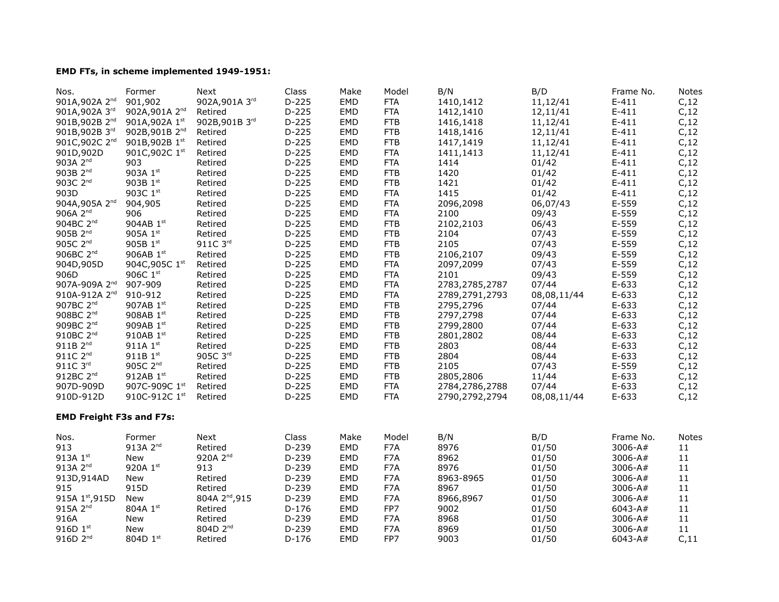## **EMD FTs, in scheme implemented 1949-1951:**

| Nos.                            | Former                     | Next                       | Class   | Make       | Model      | B/N            | B/D         | Frame No.   | <b>Notes</b>    |
|---------------------------------|----------------------------|----------------------------|---------|------------|------------|----------------|-------------|-------------|-----------------|
| 901A,902A 2 <sup>nd</sup>       | 901,902                    | 902A, 901A 3rd             | $D-225$ | EMD        | <b>FTA</b> | 1410,1412      | 11,12/41    | $E-411$     | C <sub>12</sub> |
| 901A, 902A 3rd                  | 902A, 901A 2 <sup>nd</sup> | Retired                    | $D-225$ | EMD        | <b>FTA</b> | 1412,1410      | 12,11/41    | $E-411$     | C, 12           |
| 901B,902B 2 <sup>nd</sup>       | 901A, 902A 1st             | 902B, 901B 3rd             | $D-225$ | EMD        | <b>FTB</b> | 1416,1418      | 11,12/41    | $E-411$     | C, 12           |
| 901B, 902B 3rd                  | 902B, 901B 2 <sup>nd</sup> | Retired                    | $D-225$ | EMD        | <b>FTB</b> | 1418,1416      | 12,11/41    | $E-411$     | C <sub>12</sub> |
| 901C, 902C 2 <sup>nd</sup>      | 901B, 902B 1st             | Retired                    | $D-225$ | <b>EMD</b> | <b>FTB</b> | 1417,1419      | 11,12/41    | $E-411$     | C, 12           |
| 901D,902D                       | 901C, 902C 1st             | Retired                    | $D-225$ | EMD        | <b>FTA</b> | 1411,1413      | 11,12/41    | $E-411$     | C, 12           |
| 903A 2 <sup>nd</sup>            | 903                        |                            | $D-225$ | EMD        | <b>FTA</b> | 1414           |             | $E-411$     |                 |
|                                 |                            | Retired                    |         |            |            |                | 01/42       |             | C <sub>12</sub> |
| 903B 2 <sup>nd</sup>            | 903A 1st                   | Retired                    | $D-225$ | <b>EMD</b> | <b>FTB</b> | 1420           | 01/42       | $E-411$     | C, 12           |
| 903C 2 <sup>nd</sup>            | 903B 1st                   | Retired                    | $D-225$ | EMD        | <b>FTB</b> | 1421           | 01/42       | $E-411$     | C, 12           |
| 903D                            | 903C 1st                   | Retired                    | $D-225$ | EMD        | <b>FTA</b> | 1415           | 01/42       | $E-411$     | C <sub>12</sub> |
| 904A, 905A 2 <sup>nd</sup>      | 904,905                    | Retired                    | $D-225$ | EMD        | <b>FTA</b> | 2096,2098      | 06,07/43    | $E-559$     | C <sub>12</sub> |
| 906A 2 <sup>nd</sup>            | 906                        | Retired                    | $D-225$ | <b>EMD</b> | <b>FTA</b> | 2100           | 09/43       | $E-559$     | C <sub>12</sub> |
| 904BC 2 <sup>nd</sup>           | 904AB 1st                  | Retired                    | $D-225$ | <b>EMD</b> | <b>FTB</b> | 2102,2103      | 06/43       | $E-559$     | C <sub>12</sub> |
| 905B 2nd                        | 905A 1st                   | Retired                    | $D-225$ | EMD        | <b>FTB</b> | 2104           | 07/43       | $E-559$     | C, 12           |
| 905C $2nd$                      | 905B $1^{st}$              | 911C 3rd                   | $D-225$ | <b>EMD</b> | <b>FTB</b> | 2105           | 07/43       | $E-559$     | C <sub>12</sub> |
| 906BC 2 <sup>nd</sup>           | 906AB 1st                  | Retired                    | $D-225$ | EMD        | <b>FTB</b> | 2106,2107      | 09/43       | $E-559$     | C, 12           |
| 904D,905D                       | 904C, 905C 1st             | Retired                    | $D-225$ | EMD        | <b>FTA</b> | 2097,2099      | 07/43       | $E-559$     | C, 12           |
| 906D                            | 906C 1st                   | Retired                    | $D-225$ | EMD        | <b>FTA</b> | 2101           | 09/43       | $E-559$     | C <sub>12</sub> |
| 907A-909A 2 <sup>nd</sup>       | 907-909                    | Retired                    | $D-225$ | EMD        | <b>FTA</b> | 2783,2785,2787 | 07/44       | $E-633$     | C <sub>12</sub> |
| 910A-912A 2 <sup>nd</sup>       | 910-912                    | Retired                    | $D-225$ | EMD        | <b>FTA</b> | 2789,2791,2793 | 08,08,11/44 | $E-633$     | C, 12           |
| 907BC 2 <sup>nd</sup>           | 907AB 1st                  | Retired                    | $D-225$ | EMD        | <b>FTB</b> | 2795,2796      | 07/44       | $E-633$     | C, 12           |
| 908BC 2 <sup>nd</sup>           | 908AB 1st                  | Retired                    | $D-225$ | EMD        | <b>FTB</b> | 2797,2798      | 07/44       | $E-633$     | C, 12           |
| 909BC 2 <sup>nd</sup>           | 909AB 1st                  | Retired                    | $D-225$ | <b>EMD</b> | <b>FTB</b> | 2799,2800      | 07/44       | $E-633$     | C <sub>12</sub> |
| 910BC 2 <sup>nd</sup>           | 910AB 1st                  | Retired                    | $D-225$ | EMD        | <b>FTB</b> | 2801,2802      | 08/44       | $E-633$     | C <sub>12</sub> |
| 911B 2 <sup>nd</sup>            | 911A 1st                   | Retired                    | $D-225$ | EMD        | <b>FTB</b> | 2803           | 08/44       | $E-633$     | C, 12           |
| 911C 2 <sup>nd</sup>            | 911B $1^{st}$              | 905C 3rd                   | $D-225$ | EMD        | <b>FTB</b> | 2804           | 08/44       | $E-633$     | C <sub>12</sub> |
| 911C 3rd                        | 905C 2 <sup>nd</sup>       | Retired                    | $D-225$ | EMD        | <b>FTB</b> | 2105           | 07/43       | $E-559$     |                 |
| 912BC 2 <sup>nd</sup>           |                            |                            |         |            |            |                |             |             | C, 12           |
|                                 | 912AB 1st                  | Retired                    | $D-225$ | <b>EMD</b> | <b>FTB</b> | 2805,2806      | 11/44       | $E-633$     | C, 12           |
| 907D-909D                       | 907C-909C 1st              | Retired                    | $D-225$ | EMD        | <b>FTA</b> | 2784,2786,2788 | 07/44       | $E-633$     | C, 12           |
| 910D-912D                       | 910C-912C 1st              | Retired                    | $D-225$ | EMD        | <b>FTA</b> | 2790,2792,2794 | 08,08,11/44 | $E-633$     | C, 12           |
| <b>EMD Freight F3s and F7s:</b> |                            |                            |         |            |            |                |             |             |                 |
| Nos.                            | Former                     | Next                       | Class   | Make       | Model      | B/N            | B/D         | Frame No.   | <b>Notes</b>    |
| 913                             | 913A 2 <sup>nd</sup>       | Retired                    | $D-239$ | EMD        | F7A        | 8976           | 01/50       | 3006-A#     | 11              |
| 913A 1st                        | <b>New</b>                 | 920A 2 <sup>nd</sup>       | $D-239$ | EMD        | F7A        | 8962           | 01/50       | 3006-A#     | 11              |
| 913A 2 <sup>nd</sup>            | 920A 1st                   | 913                        | D-239   | EMD        | F7A        | 8976           | 01/50       | 3006-A#     | 11              |
| 913D, 914AD                     | <b>New</b>                 | Retired                    | $D-239$ | <b>EMD</b> | F7A        | 8963-8965      | 01/50       | 3006-A#     | 11              |
| 915                             | 915D                       | Retired                    | D-239   | EMD        | F7A        | 8967           | 01/50       | $3006 - A#$ | 11              |
| 915A 1st, 915D                  | New                        | 804A 2 <sup>nd</sup> , 915 | $D-239$ | EMD        | F7A        | 8966,8967      | 01/50       | 3006-A#     | $11\,$          |
| 915A 2 <sup>nd</sup>            | 804A 1st                   | Retired                    | $D-176$ | <b>EMD</b> | FP7        | 9002           | 01/50       | 6043-A#     | $11\,$          |
| 916A                            | New                        | Retired                    | $D-239$ | EMD        | F7A        | 8968           | 01/50       | 3006-A#     | 11              |
| 916D $1^{st}$                   | New                        | 804D 2 <sup>nd</sup>       | $D-239$ | EMD        | F7A        | 8969           | 01/50       | 3006-A#     | 11              |
| 916D 2 <sup>nd</sup>            | 804D 1st                   | Retired                    | $D-176$ | EMD        | FP7        | 9003           | 01/50       | 6043-A#     | C, 11           |
|                                 |                            |                            |         |            |            |                |             |             |                 |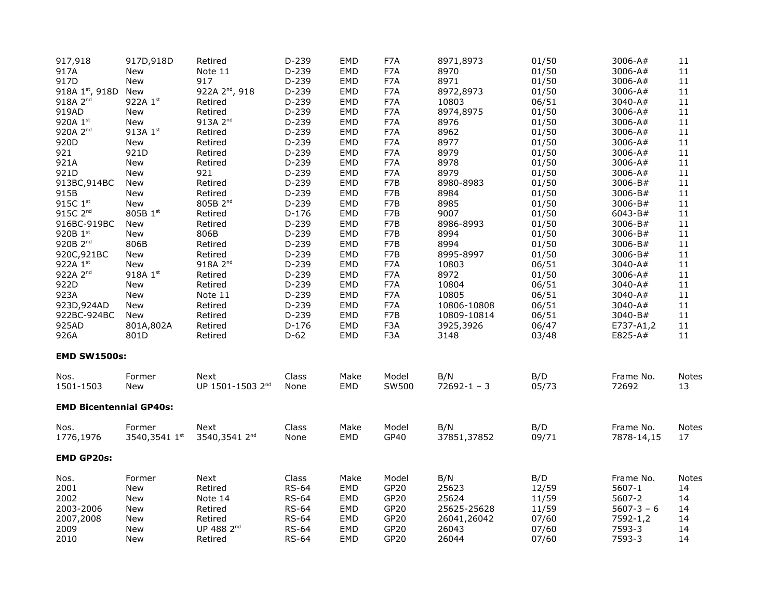| 917,918                        | 917D,918D               | Retired                      | $D-239$       | <b>EMD</b>  | F7A              | 8971,8973          | 01/50        | 3006-A#                 | 11                 |
|--------------------------------|-------------------------|------------------------------|---------------|-------------|------------------|--------------------|--------------|-------------------------|--------------------|
| 917A                           | New                     | Note 11                      | $D-239$       | <b>EMD</b>  | F7A              | 8970               | 01/50        | 3006-A#                 | 11                 |
| 917D                           | New                     | 917                          | D-239         | EMD         | F7A              | 8971               | 01/50        | 3006-A#                 | 11                 |
| 918A 1st, 918D                 | <b>New</b>              | 922A 2 <sup>nd</sup> , 918   | $D-239$       | EMD         | F7A              | 8972,8973          | 01/50        | 3006-A#                 | 11                 |
| 918A 2 <sup>nd</sup>           | 922A 1st                | Retired                      | $D-239$       | EMD         | F7A              | 10803              | 06/51        | 3040-A#                 | 11                 |
| 919AD                          | <b>New</b>              | Retired                      | $D-239$       | <b>EMD</b>  | F7A              | 8974,8975          | 01/50        | 3006-A#                 | 11                 |
| 920A 1st                       | New                     | 913A 2 <sup>nd</sup>         | $D-239$       | EMD         | F7A              | 8976               | 01/50        | 3006-A#                 | 11                 |
| 920A 2 <sup>nd</sup>           | 913A 1st                | Retired                      | $D-239$       | <b>EMD</b>  | F7A              | 8962               | 01/50        | 3006-A#                 | 11                 |
| 920D                           | New                     | Retired                      | $D-239$       | <b>EMD</b>  | F7A              | 8977               | 01/50        | 3006-A#                 | 11                 |
| 921                            | 921D                    | Retired                      | $D-239$       | <b>EMD</b>  | F7A              | 8979               | 01/50        | 3006-A#                 | 11                 |
| 921A                           | New                     | Retired                      | $D-239$       | EMD         | F7A              | 8978               | 01/50        | 3006-A#                 | 11                 |
| 921D                           | <b>New</b>              | 921                          | $D-239$       | EMD         | F7A              | 8979               | 01/50        | 3006-A#                 | 11                 |
| 913BC, 914BC                   | New                     | Retired                      | $D-239$       | <b>EMD</b>  | F7B              | 8980-8983          | 01/50        | 3006-B#                 | 11                 |
| 915B                           | New                     | Retired                      | $D-239$       | <b>EMD</b>  | F7B              | 8984               | 01/50        | 3006-B#                 | 11                 |
| 915C $1st$                     | <b>New</b>              | 805B 2 <sup>nd</sup>         | $D-239$       | <b>EMD</b>  | F7B              | 8985               | 01/50        | 3006-B#                 | 11                 |
| 915C 2 <sup>nd</sup>           | 805B 1st                | Retired                      | $D-176$       | EMD         | F7B              | 9007               | 01/50        | 6043-B#                 | 11                 |
| 916BC-919BC                    | New                     | Retired                      | $D-239$       | <b>EMD</b>  | F7B              | 8986-8993          | 01/50        | 3006-B#                 | 11                 |
| 920B 1st                       | New                     | 806B                         | $D-239$       | <b>EMD</b>  | F7B              | 8994               | 01/50        | 3006-B#                 | 11                 |
| 920B 2 <sup>nd</sup>           | 806B                    | Retired                      | $D-239$       | EMD         | F7B              | 8994               | 01/50        | 3006-B#                 | 11                 |
| 920C, 921BC                    | New                     | Retired                      | $D-239$       | <b>EMD</b>  | F7B              | 8995-8997          | 01/50        | 3006-B#                 | 11                 |
| 922A 1st                       | <b>New</b>              | 918A 2nd                     | $D-239$       | EMD         | F7A              | 10803              | 06/51        | 3040-A#                 | 11                 |
| 922A 2 <sup>nd</sup>           | 918A 1st                | Retired                      | $D-239$       | <b>EMD</b>  | F7A              | 8972               | 01/50        | 3006-A#                 | $11\,$             |
| 922D                           | <b>New</b>              | Retired                      | $D-239$       | EMD         | F7A              | 10804              | 06/51        | 3040-A#                 | 11                 |
| 923A                           | <b>New</b>              | Note 11                      | $D-239$       | <b>EMD</b>  | F7A              | 10805              | 06/51        | 3040-A#                 | 11                 |
| 923D, 924AD                    | New                     | Retired                      | $D-239$       | <b>EMD</b>  | F7A              | 10806-10808        | 06/51        | 3040-A#                 | 11                 |
| 922BC-924BC                    | <b>New</b>              | Retired                      | $D-239$       | EMD         | F7B              | 10809-10814        | 06/51        | 3040-B#                 | 11                 |
| 925AD                          | 801A,802A               | Retired                      | $D-176$       | <b>EMD</b>  | F3A              | 3925,3926          | 06/47        | E737-A1,2               | 11                 |
| 926A                           | 801D                    | Retired                      | $D-62$        | <b>EMD</b>  | F <sub>3</sub> A | 3148               | 03/48        | E825-A#                 | 11                 |
| <b>EMD SW1500s:</b>            |                         |                              |               |             |                  |                    |              |                         |                    |
| Nos.                           | Former                  | <b>Next</b>                  | Class         | Make        | Model            | B/N                | B/D          | Frame No.               | <b>Notes</b>       |
| 1501-1503                      | <b>New</b>              | UP 1501-1503 2 <sup>nd</sup> | None          | <b>EMD</b>  | SW500            | $72692 - 1 - 3$    | 05/73        | 72692                   | 13                 |
| <b>EMD Bicentennial GP40s:</b> |                         |                              |               |             |                  |                    |              |                         |                    |
|                                |                         |                              |               |             |                  |                    |              |                         |                    |
| Nos.<br>1776,1976              | Former<br>3540,3541 1st | Next<br>3540,3541 2nd        | Class<br>None | Make<br>EMD | Model<br>GP40    | B/N<br>37851,37852 | B/D<br>09/71 | Frame No.<br>7878-14,15 | <b>Notes</b><br>17 |
|                                |                         |                              |               |             |                  |                    |              |                         |                    |
| <b>EMD GP20s:</b>              |                         |                              |               |             |                  |                    |              |                         |                    |
| Nos.                           | Former                  | Next                         | Class         | Make        | Model            | B/N                | B/D          | Frame No.               | Notes              |
| 2001                           | New                     | Retired                      | <b>RS-64</b>  | EMD         | GP20             | 25623              | 12/59        | 5607-1                  | 14                 |
| 2002                           | <b>New</b>              | Note 14                      | <b>RS-64</b>  | <b>EMD</b>  | GP20             | 25624              | 11/59        | 5607-2                  | 14                 |
| 2003-2006                      | New                     | Retired                      | <b>RS-64</b>  | EMD         | GP20             | 25625-25628        | 11/59        | $5607 - 3 - 6$          | 14                 |
| 2007,2008                      | <b>New</b>              | Retired                      | <b>RS-64</b>  | <b>EMD</b>  | GP20             | 26041,26042        | 07/60        | 7592-1,2                | 14                 |
| 2009                           | New                     | UP 488 2 <sup>nd</sup>       | <b>RS-64</b>  | <b>EMD</b>  | GP20             | 26043              | 07/60        | 7593-3                  | 14                 |
| 2010                           | New                     | Retired                      | <b>RS-64</b>  | EMD         | GP20             | 26044              | 07/60        | 7593-3                  | 14                 |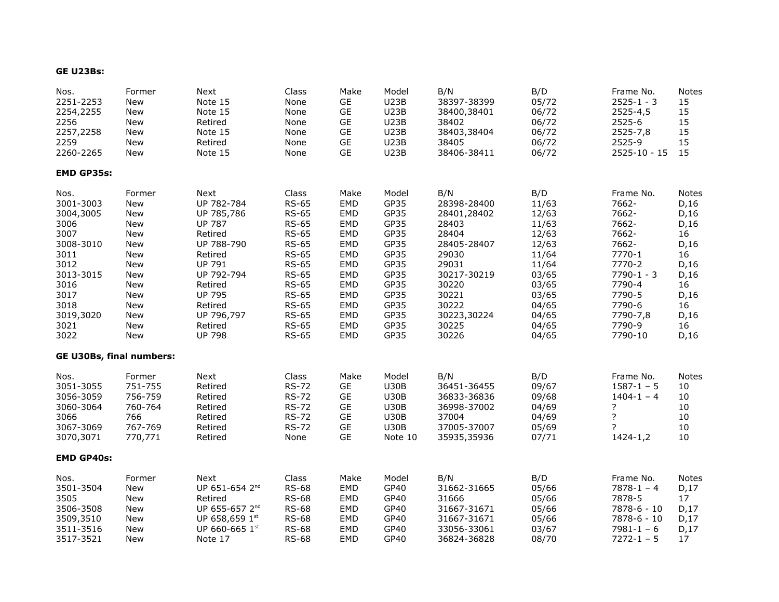#### **GE U23Bs:**

| Nos.                            | Former     | Next                       | Class        | Make       | Model       | B/N         | B/D   | Frame No.      | Notes        |
|---------------------------------|------------|----------------------------|--------------|------------|-------------|-------------|-------|----------------|--------------|
| 2251-2253                       | New        | Note 15                    | None         | <b>GE</b>  | <b>U23B</b> | 38397-38399 | 05/72 | $2525 - 1 - 3$ | 15           |
| 2254,2255                       | New        | Note 15                    | None         | <b>GE</b>  | <b>U23B</b> | 38400,38401 | 06/72 | 2525-4,5       | 15           |
| 2256                            | <b>New</b> | Retired                    | None         | <b>GE</b>  | <b>U23B</b> | 38402       | 06/72 | 2525-6         | 15           |
| 2257,2258                       | <b>New</b> | Note 15                    | None         | GE         | <b>U23B</b> | 38403,38404 | 06/72 | $2525 - 7,8$   | 15           |
| 2259                            | New        | Retired                    | None         | GE         | <b>U23B</b> | 38405       | 06/72 | 2525-9         | 15           |
| 2260-2265                       | New        | Note 15                    | None         | <b>GE</b>  | <b>U23B</b> | 38406-38411 | 06/72 | 2525-10 - 15   | 15           |
| <b>EMD GP35s:</b>               |            |                            |              |            |             |             |       |                |              |
| Nos.                            | Former     | Next                       | Class        | Make       | Model       | B/N         | B/D   | Frame No.      | <b>Notes</b> |
| 3001-3003                       | New        | UP 782-784                 | <b>RS-65</b> | EMD        | GP35        | 28398-28400 | 11/63 | 7662-          | D, 16        |
| 3004,3005                       | <b>New</b> | UP 785,786                 | <b>RS-65</b> | <b>EMD</b> | GP35        | 28401,28402 | 12/63 | 7662-          | D, 16        |
| 3006                            | <b>New</b> | <b>UP 787</b>              | <b>RS-65</b> | <b>EMD</b> | GP35        | 28403       | 11/63 | 7662-          | D, 16        |
| 3007                            | New        | Retired                    | <b>RS-65</b> | EMD        | GP35        | 28404       | 12/63 | 7662-          | 16           |
| 3008-3010                       | <b>New</b> | UP 788-790                 | <b>RS-65</b> | <b>EMD</b> | GP35        | 28405-28407 | 12/63 | 7662-          | D, 16        |
| 3011                            | <b>New</b> | Retired                    | <b>RS-65</b> | <b>EMD</b> | GP35        | 29030       | 11/64 | 7770-1         | 16           |
| 3012                            | New        | <b>UP 791</b>              | <b>RS-65</b> | <b>EMD</b> | GP35        | 29031       | 11/64 | 7770-2         | D, 16        |
| 3013-3015                       | <b>New</b> | UP 792-794                 | <b>RS-65</b> | <b>EMD</b> | GP35        | 30217-30219 | 03/65 | $7790 - 1 - 3$ | D, 16        |
| 3016                            | New        | Retired                    | <b>RS-65</b> | <b>EMD</b> | GP35        | 30220       | 03/65 | 7790-4         | 16           |
| 3017                            | New        | <b>UP 795</b>              | <b>RS-65</b> | <b>EMD</b> | GP35        | 30221       | 03/65 | 7790-5         | D, 16        |
| 3018                            | <b>New</b> | Retired                    | <b>RS-65</b> | <b>EMD</b> | GP35        | 30222       | 04/65 | 7790-6         | 16           |
| 3019,3020                       | <b>New</b> | UP 796,797                 | <b>RS-65</b> | <b>EMD</b> | GP35        | 30223,30224 | 04/65 | 7790-7,8       | D, 16        |
| 3021                            | <b>New</b> | Retired                    | <b>RS-65</b> | <b>EMD</b> | GP35        | 30225       | 04/65 | 7790-9         | 16           |
| 3022                            | New        | <b>UP 798</b>              | <b>RS-65</b> | <b>EMD</b> | GP35        | 30226       | 04/65 | 7790-10        | D, 16        |
| <b>GE U30Bs, final numbers:</b> |            |                            |              |            |             |             |       |                |              |
| Nos.                            | Former     | Next                       | Class        | Make       | Model       | B/N         | B/D   | Frame No.      | <b>Notes</b> |
| 3051-3055                       | 751-755    | Retired                    | <b>RS-72</b> | GE         | <b>U30B</b> | 36451-36455 | 09/67 | $1587 - 1 - 5$ | 10           |
| 3056-3059                       | 756-759    | Retired                    | <b>RS-72</b> | GE         | <b>U30B</b> | 36833-36836 | 09/68 | $1404 - 1 - 4$ | 10           |
| 3060-3064                       | 760-764    | Retired                    | <b>RS-72</b> | GE         | <b>U30B</b> | 36998-37002 | 04/69 | ?              | 10           |
| 3066                            | 766        | Retired                    | <b>RS-72</b> | <b>GE</b>  | <b>U30B</b> | 37004       | 04/69 | ?              | 10           |
| 3067-3069                       | 767-769    | Retired                    | <b>RS-72</b> | <b>GE</b>  | <b>U30B</b> | 37005-37007 | 05/69 | ?              | 10           |
| 3070,3071                       | 770,771    | Retired                    | None         | <b>GE</b>  | Note 10     | 35935,35936 | 07/71 | 1424-1,2       | 10           |
| <b>EMD GP40s:</b>               |            |                            |              |            |             |             |       |                |              |
| Nos.                            | Former     | Next                       | Class        | Make       | Model       | B/N         | B/D   | Frame No.      | Notes        |
| 3501-3504                       | <b>New</b> | UP 651-654 2nd             | <b>RS-68</b> | EMD        | GP40        | 31662-31665 | 05/66 | $7878 - 1 - 4$ | D, 17        |
| 3505                            | <b>New</b> | Retired                    | <b>RS-68</b> | <b>EMD</b> | GP40        | 31666       | 05/66 | 7878-5         | 17           |
| 3506-3508                       | New        | UP 655-657 2 <sup>nd</sup> | <b>RS-68</b> | <b>EMD</b> | GP40        | 31667-31671 | 05/66 | 7878-6 - 10    | D, 17        |
| 3509,3510                       | New        | UP 658,659 1st             | <b>RS-68</b> | <b>EMD</b> | GP40        | 31667-31671 | 05/66 | 7878-6 - 10    | D, 17        |
| 3511-3516                       | New        | UP 660-665 1st             | <b>RS-68</b> | <b>EMD</b> | GP40        | 33056-33061 | 03/67 | $7981 - 1 - 6$ | D, 17        |
| 3517-3521                       | New        | Note 17                    | <b>RS-68</b> | <b>EMD</b> | GP40        | 36824-36828 | 08/70 | $7272 - 1 - 5$ | 17           |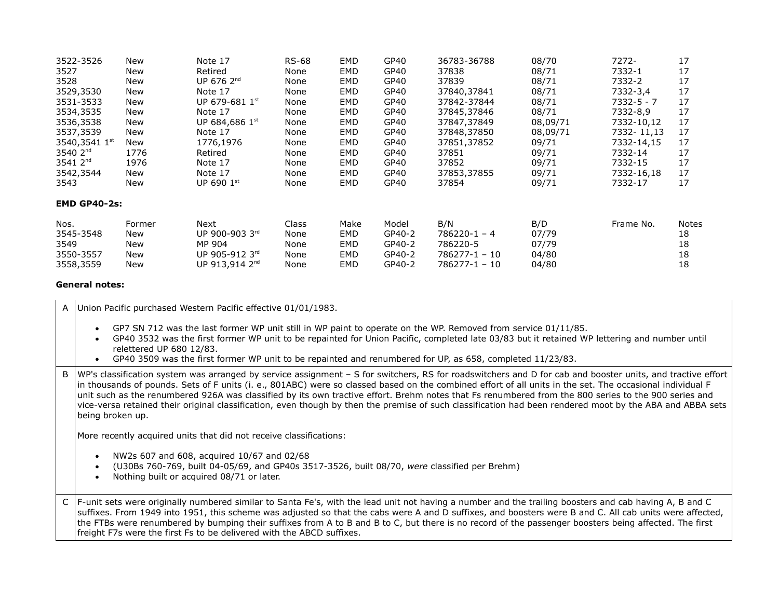| 3522-3526                                           | <b>New</b>                         | Note 17                                                                          | <b>RS-68</b>                          | EMD                              | GP40                                          | 36783-36788                                                               | 08/70                                   | 7272-      | 17                            |  |  |
|-----------------------------------------------------|------------------------------------|----------------------------------------------------------------------------------|---------------------------------------|----------------------------------|-----------------------------------------------|---------------------------------------------------------------------------|-----------------------------------------|------------|-------------------------------|--|--|
| 3527                                                | New                                | Retired                                                                          | None                                  | EMD                              | GP40                                          | 37838                                                                     | 08/71                                   | 7332-1     | 17                            |  |  |
| 3528                                                | New                                | UP 676 2 <sup>nd</sup>                                                           | None                                  | EMD                              | GP40                                          | 37839                                                                     | 08/71                                   | 7332-2     | 17                            |  |  |
| 3529,3530                                           | New                                | Note 17                                                                          | None                                  | EMD                              | GP40                                          | 37840,37841                                                               | 08/71                                   | 7332-3,4   | 17                            |  |  |
| 3531-3533                                           | New                                | UP 679-681 $1st$                                                                 | None                                  | EMD                              | GP40                                          | 37842-37844                                                               | 08/71                                   | 7332-5 - 7 | 17                            |  |  |
| 3534,3535                                           | New                                | Note 17                                                                          | None                                  | EMD                              | GP40                                          | 37845,37846                                                               | 08/71                                   | 7332-8,9   | 17                            |  |  |
| 3536,3538                                           | New                                | UP 684,686 1st                                                                   | None                                  | EMD                              | GP40                                          | 37847,37849                                                               | 08,09/71                                | 7332-10,12 | 17                            |  |  |
| 3537,3539                                           | New                                | Note 17                                                                          | None                                  | EMD                              | GP40                                          | 37848,37850                                                               | 08,09/71                                | 7332-11,13 | 17                            |  |  |
| 3540,3541 1st                                       | New                                | 1776,1976                                                                        | None                                  | EMD                              | GP40                                          | 37851,37852                                                               | 09/71                                   | 7332-14.15 | 17                            |  |  |
| 3540 2 <sup>nd</sup>                                | 1776                               | Retired                                                                          | None                                  | EMD                              | GP40                                          | 37851                                                                     | 09/71                                   | 7332-14    | 17                            |  |  |
| 3541 2 <sup>nd</sup>                                | 1976                               | Note 17                                                                          | None                                  | EMD                              | GP40                                          | 37852                                                                     | 09/71                                   | 7332-15    | 17                            |  |  |
| 3542,3544                                           | New                                | Note 17                                                                          | None                                  | EMD                              | GP40                                          | 37853,37855                                                               | 09/71                                   | 7332-16,18 | 17                            |  |  |
| 3543                                                | New                                | UP 690 1st                                                                       | None                                  | EMD                              | GP40                                          | 37854                                                                     | 09/71                                   | 7332-17    | 17                            |  |  |
| <b>EMD GP40-2s:</b>                                 |                                    |                                                                                  |                                       |                                  |                                               |                                                                           |                                         |            |                               |  |  |
| Nos.<br>3545-3548<br>3549<br>3550-3557<br>3558,3559 | Former<br>New<br>New<br>New<br>New | Next<br>UP 900-903 3rd<br>MP 904<br>UP 905-912 3rd<br>UP 913,914 2 <sup>nd</sup> | Class<br>None<br>None<br>None<br>None | Make<br>EMD<br>EMD<br>EMD<br>EMD | Model<br>GP40-2<br>GP40-2<br>GP40-2<br>GP40-2 | B/N<br>$786220 - 1 - 4$<br>786220-5<br>$786277 - 1 - 10$<br>786277-1 - 10 | B/D<br>07/79<br>07/79<br>04/80<br>04/80 | Frame No.  | Notes<br>18<br>18<br>18<br>18 |  |  |
|                                                     |                                    |                                                                                  |                                       |                                  |                                               |                                                                           |                                         |            |                               |  |  |

#### **General notes:**

| A | Union Pacific purchased Western Pacific effective 01/01/1983.                                                                                                                                                                                                                                                                                                                                                                                                                                                                                                                                                                                                    |  |
|---|------------------------------------------------------------------------------------------------------------------------------------------------------------------------------------------------------------------------------------------------------------------------------------------------------------------------------------------------------------------------------------------------------------------------------------------------------------------------------------------------------------------------------------------------------------------------------------------------------------------------------------------------------------------|--|
|   | GP7 SN 712 was the last former WP unit still in WP paint to operate on the WP. Removed from service 01/11/85.<br>$\bullet$<br>GP40 3532 was the first former WP unit to be repainted for Union Pacific, completed late 03/83 but it retained WP lettering and number until<br>$\bullet$<br>relettered UP 680 12/83.<br>GP40 3509 was the first former WP unit to be repainted and renumbered for UP, as 658, completed 11/23/83.                                                                                                                                                                                                                                 |  |
| B | WP's classification system was arranged by service assignment - S for switchers, RS for roadswitchers and D for cab and booster units, and tractive effort<br>in thousands of pounds. Sets of F units (i. e., 801ABC) were so classed based on the combined effort of all units in the set. The occasional individual F<br>unit such as the renumbered 926A was classified by its own tractive effort. Brehm notes that Fs renumbered from the 800 series to the 900 series and<br>vice-versa retained their original classification, even though by then the premise of such classification had been rendered moot by the ABA and ABBA sets<br>being broken up. |  |
|   | More recently acquired units that did not receive classifications:<br>NW2s 607 and 608, acquired 10/67 and 02/68<br>$\bullet$<br>(U30Bs 760-769, built 04-05/69, and GP40s 3517-3526, built 08/70, were classified per Brehm)<br>$\bullet$                                                                                                                                                                                                                                                                                                                                                                                                                       |  |
|   | Nothing built or acquired 08/71 or later.<br>$\bullet$                                                                                                                                                                                                                                                                                                                                                                                                                                                                                                                                                                                                           |  |
| C | F-unit sets were originally numbered similar to Santa Fe's, with the lead unit not having a number and the trailing boosters and cab having A, B and C<br>suffixes. From 1949 into 1951, this scheme was adjusted so that the cabs were A and D suffixes, and boosters were B and C. All cab units were affected,<br>the FTBs were renumbered by bumping their suffixes from A to B and B to C, but there is no record of the passenger boosters being affected. The first<br>freight F7s were the first Fs to be delivered with the ABCD suffixes.                                                                                                              |  |
|   |                                                                                                                                                                                                                                                                                                                                                                                                                                                                                                                                                                                                                                                                  |  |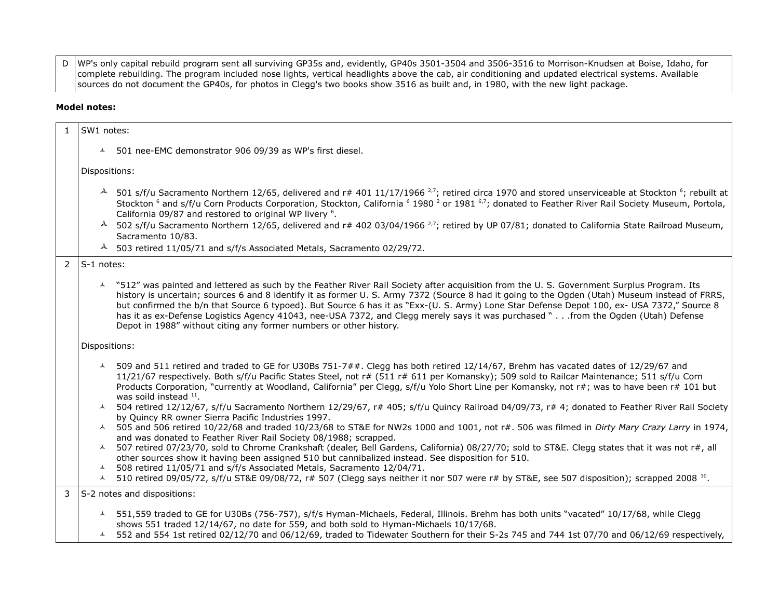D WP's only capital rebuild program sent all surviving GP35s and, evidently, GP40s 3501-3504 and 3506-3516 to Morrison-Knudsen at Boise, Idaho, for complete rebuilding. The program included nose lights, vertical headlights above the cab, air conditioning and updated electrical systems. Available sources do not document the GP40s, for photos in Clegg's two books show 3516 as built and, in 1980, with the new light package.

#### **Model notes:**

| $\mathbf{1}$  | SW1 notes:                                                                                                                                                                                                                                                                                                                                                                                                                                                                                                                                                                                                                                                             |  |  |  |  |  |  |  |  |  |
|---------------|------------------------------------------------------------------------------------------------------------------------------------------------------------------------------------------------------------------------------------------------------------------------------------------------------------------------------------------------------------------------------------------------------------------------------------------------------------------------------------------------------------------------------------------------------------------------------------------------------------------------------------------------------------------------|--|--|--|--|--|--|--|--|--|
|               | ▲ 501 nee-EMC demonstrator 906 09/39 as WP's first diesel.                                                                                                                                                                                                                                                                                                                                                                                                                                                                                                                                                                                                             |  |  |  |  |  |  |  |  |  |
|               | Dispositions:                                                                                                                                                                                                                                                                                                                                                                                                                                                                                                                                                                                                                                                          |  |  |  |  |  |  |  |  |  |
|               | $\sim$ 501 s/f/u Sacramento Northern 12/65, delivered and r# 401 11/17/1966 <sup>2,7</sup> ; retired circa 1970 and stored unserviceable at Stockton <sup>6</sup> ; rebuilt at<br>Stockton <sup>6</sup> and s/f/u Corn Products Corporation, Stockton, California <sup>6</sup> 1980 <sup>2</sup> or 1981 <sup>6,7</sup> ; donated to Feather River Rail Society Museum, Portola,<br>California 09/87 and restored to original WP livery <sup>6</sup> .                                                                                                                                                                                                                 |  |  |  |  |  |  |  |  |  |
|               | 502 s/f/u Sacramento Northern 12/65, delivered and r# 402 03/04/1966 <sup>2,7</sup> ; retired by UP 07/81; donated to California State Railroad Museum,<br>$\blacktriangle$<br>Sacramento 10/83.                                                                                                                                                                                                                                                                                                                                                                                                                                                                       |  |  |  |  |  |  |  |  |  |
|               | $\sim$ 503 retired 11/05/71 and s/f/s Associated Metals, Sacramento 02/29/72.                                                                                                                                                                                                                                                                                                                                                                                                                                                                                                                                                                                          |  |  |  |  |  |  |  |  |  |
| $\mathcal{P}$ | $ S-1 $ notes:                                                                                                                                                                                                                                                                                                                                                                                                                                                                                                                                                                                                                                                         |  |  |  |  |  |  |  |  |  |
|               | "512" was painted and lettered as such by the Feather River Rail Society after acquisition from the U.S. Government Surplus Program. Its<br>$\blacktriangle$<br>history is uncertain; sources 6 and 8 identify it as former U.S. Army 7372 (Source 8 had it going to the Ogden (Utah) Museum instead of FRRS,<br>but confirmed the b/n that Source 6 typoed). But Source 6 has it as "Exx-(U. S. Army) Lone Star Defense Depot 100, ex- USA 7372," Source 8<br>has it as ex-Defense Logistics Agency 41043, nee-USA 7372, and Clegg merely says it was purchased " from the Ogden (Utah) Defense<br>Depot in 1988" without citing any former numbers or other history. |  |  |  |  |  |  |  |  |  |
|               | Dispositions:                                                                                                                                                                                                                                                                                                                                                                                                                                                                                                                                                                                                                                                          |  |  |  |  |  |  |  |  |  |
|               | 509 and 511 retired and traded to GE for U30Bs 751-7##. Clegg has both retired 12/14/67, Brehm has vacated dates of 12/29/67 and<br>$\blacktriangle$<br>11/21/67 respectively. Both s/f/u Pacific States Steel, not r# (511 r# 611 per Komansky); 509 sold to Railcar Maintenance; 511 s/f/u Corn<br>Products Corporation, "currently at Woodland, California" per Clegg, s/f/u Yolo Short Line per Komansky, not r#; was to have been r# 101 but<br>was soild instead $^{11}$ .                                                                                                                                                                                       |  |  |  |  |  |  |  |  |  |
|               | 504 retired 12/12/67, s/f/u Sacramento Northern 12/29/67, r# 405; s/f/u Quincy Railroad 04/09/73, r# 4; donated to Feather River Rail Society<br>$\blacktriangle$<br>by Quincy RR owner Sierra Pacific Industries 1997.                                                                                                                                                                                                                                                                                                                                                                                                                                                |  |  |  |  |  |  |  |  |  |
|               | 505 and 506 retired 10/22/68 and traded 10/23/68 to ST&E for NW2s 1000 and 1001, not r#. 506 was filmed in Dirty Mary Crazy Larry in 1974,<br>$\lambda$                                                                                                                                                                                                                                                                                                                                                                                                                                                                                                                |  |  |  |  |  |  |  |  |  |
|               | and was donated to Feather River Rail Society 08/1988; scrapped.<br>507 retired 07/23/70, sold to Chrome Crankshaft (dealer, Bell Gardens, California) 08/27/70; sold to ST&E. Clegg states that it was not r#, all<br>$\blacktriangle$                                                                                                                                                                                                                                                                                                                                                                                                                                |  |  |  |  |  |  |  |  |  |
|               | other sources show it having been assigned 510 but cannibalized instead. See disposition for 510.<br>508 retired 11/05/71 and s/f/s Associated Metals, Sacramento 12/04/71.<br>$\blacktriangle$                                                                                                                                                                                                                                                                                                                                                                                                                                                                        |  |  |  |  |  |  |  |  |  |
|               | 510 retired 09/05/72, s/f/u ST&E 09/08/72, r# 507 (Clegg says neither it nor 507 were r# by ST&E, see 507 disposition); scrapped 2008 10.<br>$\blacktriangle$                                                                                                                                                                                                                                                                                                                                                                                                                                                                                                          |  |  |  |  |  |  |  |  |  |
| 3             | S-2 notes and dispositions:                                                                                                                                                                                                                                                                                                                                                                                                                                                                                                                                                                                                                                            |  |  |  |  |  |  |  |  |  |
|               | 4 551,559 traded to GE for U30Bs (756-757), s/f/s Hyman-Michaels, Federal, Illinois. Brehm has both units "vacated" 10/17/68, while Clegg<br>shows 551 traded 12/14/67, no date for 559, and both sold to Hyman-Michaels 10/17/68.                                                                                                                                                                                                                                                                                                                                                                                                                                     |  |  |  |  |  |  |  |  |  |

552 and 554 1st retired 02/12/70 and 06/12/69, traded to Tidewater Southern for their S-2s 745 and 744 1st 07/70 and 06/12/69 respectively,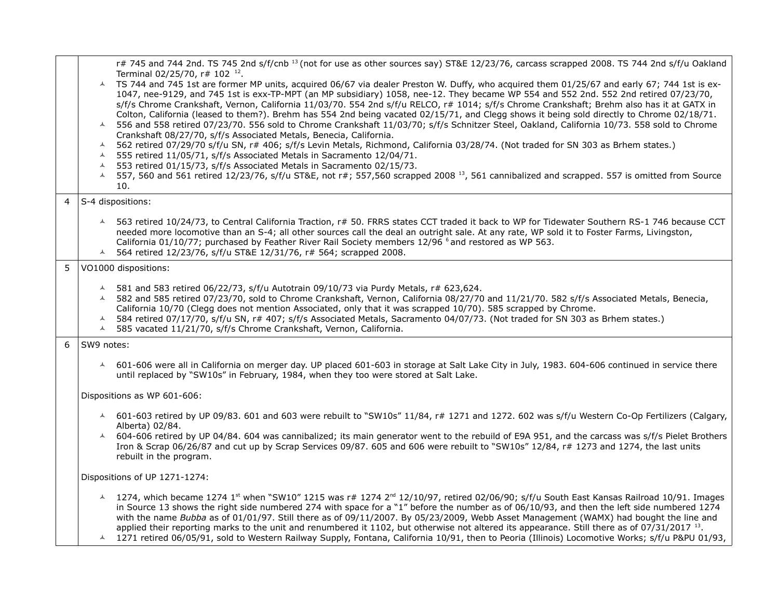|   | r# 745 and 744 2nd. TS 745 2nd s/f/cnb <sup>13</sup> (not for use as other sources say) ST&E 12/23/76, carcass scrapped 2008. TS 744 2nd s/f/u Oakland<br>Terminal 02/25/70, r# 102 <sup>12</sup> .                                                                                                                                                                                                                                                                                                                                                                                                                                                                                                                                                                                                                                                                                                                                                                                                                                                                             |
|---|---------------------------------------------------------------------------------------------------------------------------------------------------------------------------------------------------------------------------------------------------------------------------------------------------------------------------------------------------------------------------------------------------------------------------------------------------------------------------------------------------------------------------------------------------------------------------------------------------------------------------------------------------------------------------------------------------------------------------------------------------------------------------------------------------------------------------------------------------------------------------------------------------------------------------------------------------------------------------------------------------------------------------------------------------------------------------------|
|   | A TS 744 and 745 1st are former MP units, acquired 06/67 via dealer Preston W. Duffy, who acquired them 01/25/67 and early 67; 744 1st is ex-<br>1047, nee-9129, and 745 1st is exx-TP-MPT (an MP subsidiary) 1058, nee-12. They became WP 554 and 552 2nd. 552 2nd retired 07/23/70,<br>s/f/s Chrome Crankshaft, Vernon, California 11/03/70. 554 2nd s/f/u RELCO, r# 1014; s/f/s Chrome Crankshaft; Brehm also has it at GATX in<br>Colton, California (leased to them?). Brehm has 554 2nd being vacated 02/15/71, and Clegg shows it being sold directly to Chrome 02/18/71.<br>556 and 558 retired 07/23/70. 556 sold to Chrome Crankshaft 11/03/70; s/f/s Schnitzer Steel, Oakland, California 10/73. 558 sold to Chrome<br>$\blacktriangle$<br>Crankshaft 08/27/70, s/f/s Associated Metals, Benecia, California.<br>562 retired 07/29/70 s/f/u SN, r# 406; s/f/s Levin Metals, Richmond, California 03/28/74. (Not traded for SN 303 as Brhem states.)<br>$\blacktriangle$<br>$\blacktriangle$<br>555 retired 11/05/71, s/f/s Associated Metals in Sacramento 12/04/71. |
|   | 553 retired 01/15/73, s/f/s Associated Metals in Sacramento 02/15/73.<br>$\blacktriangle$                                                                                                                                                                                                                                                                                                                                                                                                                                                                                                                                                                                                                                                                                                                                                                                                                                                                                                                                                                                       |
|   | 557, 560 and 561 retired 12/23/76, s/f/u ST&E, not r#; 557,560 scrapped 2008 <sup>13</sup> , 561 cannibalized and scrapped. 557 is omitted from Source<br>$\blacktriangle$<br>10.                                                                                                                                                                                                                                                                                                                                                                                                                                                                                                                                                                                                                                                                                                                                                                                                                                                                                               |
| 4 | S-4 dispositions:                                                                                                                                                                                                                                                                                                                                                                                                                                                                                                                                                                                                                                                                                                                                                                                                                                                                                                                                                                                                                                                               |
|   | 4 563 retired 10/24/73, to Central California Traction, r# 50. FRRS states CCT traded it back to WP for Tidewater Southern RS-1 746 because CCT<br>needed more locomotive than an S-4; all other sources call the deal an outright sale. At any rate, WP sold it to Foster Farms, Livingston,<br>California 01/10/77; purchased by Feather River Rail Society members 12/96 6 and restored as WP 563.<br>564 retired 12/23/76, s/f/u ST&E 12/31/76, r# 564; scrapped 2008.<br>$\blacktriangle$                                                                                                                                                                                                                                                                                                                                                                                                                                                                                                                                                                                  |
| 5 | VO1000 dispositions:                                                                                                                                                                                                                                                                                                                                                                                                                                                                                                                                                                                                                                                                                                                                                                                                                                                                                                                                                                                                                                                            |
|   | $\sim$ 581 and 583 retired 06/22/73, s/f/u Autotrain 09/10/73 via Purdy Metals, r# 623,624.<br>▲ 582 and 585 retired 07/23/70, sold to Chrome Crankshaft, Vernon, California 08/27/70 and 11/21/70. 582 s/f/s Associated Metals, Benecia,<br>California 10/70 (Clegg does not mention Associated, only that it was scrapped 10/70). 585 scrapped by Chrome.<br>584 retired 07/17/70, s/f/u SN, r# 407; s/f/s Associated Metals, Sacramento 04/07/73. (Not traded for SN 303 as Brhem states.)<br>$\blacktriangle$<br>585 vacated 11/21/70, s/f/s Chrome Crankshaft, Vernon, California.<br>$\blacktriangle$                                                                                                                                                                                                                                                                                                                                                                                                                                                                     |
| 6 | SW9 notes:                                                                                                                                                                                                                                                                                                                                                                                                                                                                                                                                                                                                                                                                                                                                                                                                                                                                                                                                                                                                                                                                      |
|   | 4 601-606 were all in California on merger day. UP placed 601-603 in storage at Salt Lake City in July, 1983. 604-606 continued in service there<br>until replaced by "SW10s" in February, 1984, when they too were stored at Salt Lake.                                                                                                                                                                                                                                                                                                                                                                                                                                                                                                                                                                                                                                                                                                                                                                                                                                        |
|   | Dispositions as WP 601-606:                                                                                                                                                                                                                                                                                                                                                                                                                                                                                                                                                                                                                                                                                                                                                                                                                                                                                                                                                                                                                                                     |
|   | △ 601-603 retired by UP 09/83. 601 and 603 were rebuilt to "SW10s" 11/84, r# 1271 and 1272. 602 was s/f/u Western Co-Op Fertilizers (Calgary,<br>Alberta) 02/84.                                                                                                                                                                                                                                                                                                                                                                                                                                                                                                                                                                                                                                                                                                                                                                                                                                                                                                                |
|   | 604-606 retired by UP 04/84. 604 was cannibalized; its main generator went to the rebuild of E9A 951, and the carcass was s/f/s Pielet Brothers<br>$\blacktriangle$<br>Iron & Scrap 06/26/87 and cut up by Scrap Services 09/87. 605 and 606 were rebuilt to "SW10s" 12/84, r# 1273 and 1274, the last units<br>rebuilt in the program.                                                                                                                                                                                                                                                                                                                                                                                                                                                                                                                                                                                                                                                                                                                                         |
|   | Dispositions of UP 1271-1274:                                                                                                                                                                                                                                                                                                                                                                                                                                                                                                                                                                                                                                                                                                                                                                                                                                                                                                                                                                                                                                                   |
|   | 1274, which became 1274 1 <sup>st</sup> when "SW10" 1215 was r# 1274 2 <sup>nd</sup> 12/10/97, retired 02/06/90; s/f/u South East Kansas Railroad 10/91. Images<br>$\lambda$<br>in Source 13 shows the right side numbered 274 with space for a "1" before the number as of 06/10/93, and then the left side numbered 1274<br>with the name Bubba as of 01/01/97. Still there as of 09/11/2007. By 05/23/2009, Webb Asset Management (WAMX) had bought the line and<br>applied their reporting marks to the unit and renumbered it 1102, but otherwise not altered its appearance. Still there as of 07/31/2017 13.                                                                                                                                                                                                                                                                                                                                                                                                                                                             |

1271 retired 06/05/91, sold to Western Railway Supply, Fontana, California 10/91, then to Peoria (Illinois) Locomotive Works; s/f/u P&PU 01/93,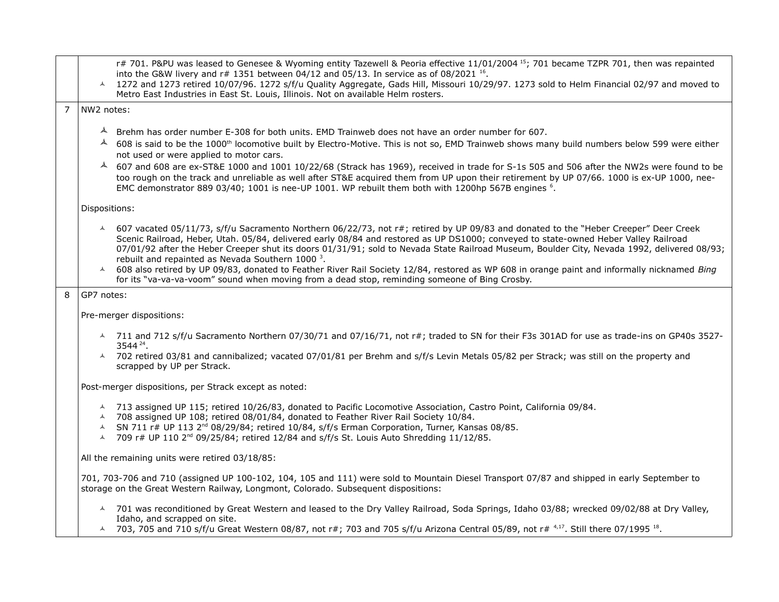|                | r# 701. P&PU was leased to Genesee & Wyoming entity Tazewell & Peoria effective 11/01/2004 15; 701 became TZPR 701, then was repainted<br>into the G&W livery and $r# 1351$ between 04/12 and 05/13. In service as of 08/2021 <sup>16</sup> .<br>4 1272 and 1273 retired 10/07/96. 1272 s/f/u Quality Aggregate, Gads Hill, Missouri 10/29/97. 1273 sold to Helm Financial 02/97 and moved to<br>Metro East Industries in East St. Louis, Illinois. Not on available Helm rosters.          |  |  |  |  |  |  |
|----------------|---------------------------------------------------------------------------------------------------------------------------------------------------------------------------------------------------------------------------------------------------------------------------------------------------------------------------------------------------------------------------------------------------------------------------------------------------------------------------------------------|--|--|--|--|--|--|
| $\overline{7}$ | NW2 notes:                                                                                                                                                                                                                                                                                                                                                                                                                                                                                  |  |  |  |  |  |  |
|                | $\blacktriangle$<br>Brehm has order number E-308 for both units. EMD Trainweb does not have an order number for 607.                                                                                                                                                                                                                                                                                                                                                                        |  |  |  |  |  |  |
|                | $\blacktriangle$<br>608 is said to be the 1000 <sup>th</sup> locomotive built by Electro-Motive. This is not so, EMD Trainweb shows many build numbers below 599 were either                                                                                                                                                                                                                                                                                                                |  |  |  |  |  |  |
|                | not used or were applied to motor cars.                                                                                                                                                                                                                                                                                                                                                                                                                                                     |  |  |  |  |  |  |
|                | 4 607 and 608 are ex-ST&E 1000 and 1001 10/22/68 (Strack has 1969), received in trade for S-1s 505 and 506 after the NW2s were found to be<br>too rough on the track and unreliable as well after ST&E acquired them from UP upon their retirement by UP 07/66. 1000 is ex-UP 1000, nee-<br>EMC demonstrator 889 03/40; 1001 is nee-UP 1001. WP rebuilt them both with 1200hp 567B engines <sup>6</sup> .                                                                                   |  |  |  |  |  |  |
|                | Dispositions:                                                                                                                                                                                                                                                                                                                                                                                                                                                                               |  |  |  |  |  |  |
|                | 4 607 vacated 05/11/73, s/f/u Sacramento Northern 06/22/73, not r#; retired by UP 09/83 and donated to the "Heber Creeper" Deer Creek<br>Scenic Railroad, Heber, Utah. 05/84, delivered early 08/84 and restored as UP DS1000; conveyed to state-owned Heber Valley Railroad<br>07/01/92 after the Heber Creeper shut its doors 01/31/91; sold to Nevada State Railroad Museum, Boulder City, Nevada 1992, delivered 08/93;<br>rebuilt and repainted as Nevada Southern 1000 <sup>3</sup> . |  |  |  |  |  |  |
|                | 4 608 also retired by UP 09/83, donated to Feather River Rail Society 12/84, restored as WP 608 in orange paint and informally nicknamed Bing<br>for its "va-va-va-voom" sound when moving from a dead stop, reminding someone of Bing Crosby.                                                                                                                                                                                                                                              |  |  |  |  |  |  |
| 8              | GP7 notes:                                                                                                                                                                                                                                                                                                                                                                                                                                                                                  |  |  |  |  |  |  |
|                | Pre-merger dispositions:                                                                                                                                                                                                                                                                                                                                                                                                                                                                    |  |  |  |  |  |  |
|                | A 711 and 712 s/f/u Sacramento Northern 07/30/71 and 07/16/71, not r#; traded to SN for their F3s 301AD for use as trade-ins on GP40s 3527-<br>3544 24.                                                                                                                                                                                                                                                                                                                                     |  |  |  |  |  |  |
|                | ↓ 702 retired 03/81 and cannibalized; vacated 07/01/81 per Brehm and s/f/s Levin Metals 05/82 per Strack; was still on the property and<br>scrapped by UP per Strack.                                                                                                                                                                                                                                                                                                                       |  |  |  |  |  |  |
|                | Post-merger dispositions, per Strack except as noted:                                                                                                                                                                                                                                                                                                                                                                                                                                       |  |  |  |  |  |  |
|                | ▲ 713 assigned UP 115; retired 10/26/83, donated to Pacific Locomotive Association, Castro Point, California 09/84.<br>△ 708 assigned UP 108; retired 08/01/84, donated to Feather River Rail Society 10/84.<br>A SN 711 r# UP 113 2 <sup>nd</sup> 08/29/84; retired 10/84, s/f/s Erman Corporation, Turner, Kansas 08/85.<br>$\sim$ 709 r# UP 110 2 <sup>nd</sup> 09/25/84; retired 12/84 and s/f/s St. Louis Auto Shredding 11/12/85.                                                     |  |  |  |  |  |  |
|                | All the remaining units were retired 03/18/85:                                                                                                                                                                                                                                                                                                                                                                                                                                              |  |  |  |  |  |  |
|                | 701, 703-706 and 710 (assigned UP 100-102, 104, 105 and 111) were sold to Mountain Diesel Transport 07/87 and shipped in early September to<br>storage on the Great Western Railway, Longmont, Colorado. Subsequent dispositions:                                                                                                                                                                                                                                                           |  |  |  |  |  |  |
|                | A 701 was reconditioned by Great Western and leased to the Dry Valley Railroad, Soda Springs, Idaho 03/88; wrecked 09/02/88 at Dry Valley,<br>Idaho, and scrapped on site.                                                                                                                                                                                                                                                                                                                  |  |  |  |  |  |  |
|                | $\sim$ 703, 705 and 710 s/f/u Great Western 08/87, not r#; 703 and 705 s/f/u Arizona Central 05/89, not r# 4,17. Still there 07/1995 18.                                                                                                                                                                                                                                                                                                                                                    |  |  |  |  |  |  |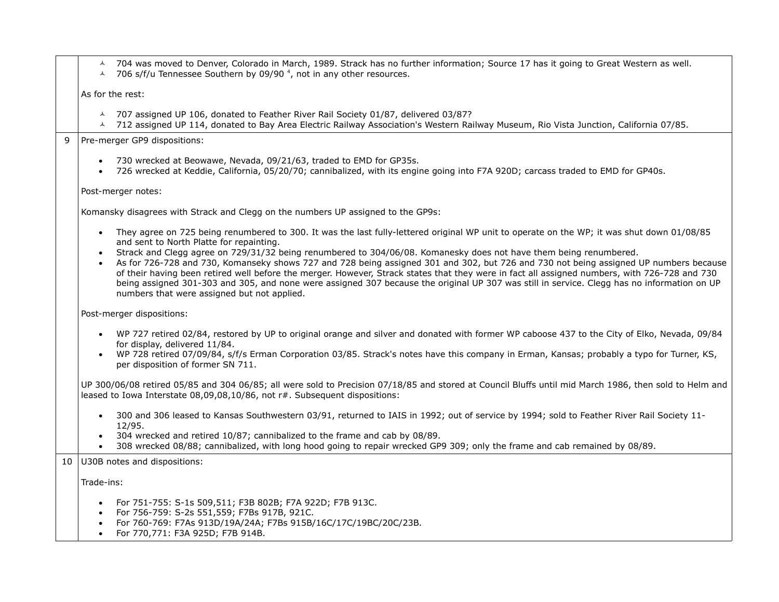|                             |  | A 704 was moved to Denver, Colorado in March, 1989. Strack has no further information; Source 17 has it going to Great Western as well. |  |
|-----------------------------|--|-----------------------------------------------------------------------------------------------------------------------------------------|--|
| $\sim$ $\sim$ $\sim$ $\sim$ |  |                                                                                                                                         |  |

 $\lambda$  706 s/f/u Tennessee Southern by 09/90<sup>4</sup>, not in any other resources.

As for the rest:

- $\sim$  707 assigned UP 106, donated to Feather River Rail Society 01/87, delivered 03/87?
- 712 assigned UP 114, donated to Bay Area Electric Railway Association's Western Railway Museum, Rio Vista Junction, California 07/85.

9 Pre-merger GP9 dispositions:

- 730 wrecked at Beowawe, Nevada, 09/21/63, traded to EMD for GP35s.
- 726 wrecked at Keddie, California, 05/20/70; cannibalized, with its engine going into F7A 920D; carcass traded to EMD for GP40s.

Post-merger notes:

Komansky disagrees with Strack and Clegg on the numbers UP assigned to the GP9s:

- They agree on 725 being renumbered to 300. It was the last fully-lettered original WP unit to operate on the WP; it was shut down 01/08/85 and sent to North Platte for repainting.
- Strack and Clegg agree on 729/31/32 being renumbered to 304/06/08. Komanesky does not have them being renumbered.
- As for 726-728 and 730, Komanseky shows 727 and 728 being assigned 301 and 302, but 726 and 730 not being assigned UP numbers because of their having been retired well before the merger. However, Strack states that they were in fact all assigned numbers, with 726-728 and 730 being assigned 301-303 and 305, and none were assigned 307 because the original UP 307 was still in service. Clegg has no information on UP numbers that were assigned but not applied.

#### Post-merger dispositions:

- WP 727 retired 02/84, restored by UP to original orange and silver and donated with former WP caboose 437 to the City of Elko, Nevada, 09/84 for display, delivered 11/84.
- WP 728 retired 07/09/84, s/f/s Erman Corporation 03/85. Strack's notes have this company in Erman, Kansas; probably a typo for Turner, KS, per disposition of former SN 711.

UP 300/06/08 retired 05/85 and 304 06/85; all were sold to Precision 07/18/85 and stored at Council Bluffs until mid March 1986, then sold to Helm and leased to Iowa Interstate 08,09,08,10/86, not r#. Subsequent dispositions:

- 300 and 306 leased to Kansas Southwestern 03/91, returned to IAIS in 1992; out of service by 1994; sold to Feather River Rail Society 11-12/95.
- 304 wrecked and retired 10/87; cannibalized to the frame and cab by 08/89.
- 308 wrecked 08/88; cannibalized, with long hood going to repair wrecked GP9 309; only the frame and cab remained by 08/89.

10 U30B notes and dispositions:

Trade-ins:

- For 751-755: S-1s 509,511; F3B 802B; F7A 922D; F7B 913C.
- For 756-759: S-2s 551,559; F7Bs 917B, 921C.
- For 760-769: F7As 913D/19A/24A; F7Bs 915B/16C/17C/19BC/20C/23B.
- For 770,771: F3A 925D; F7B 914B.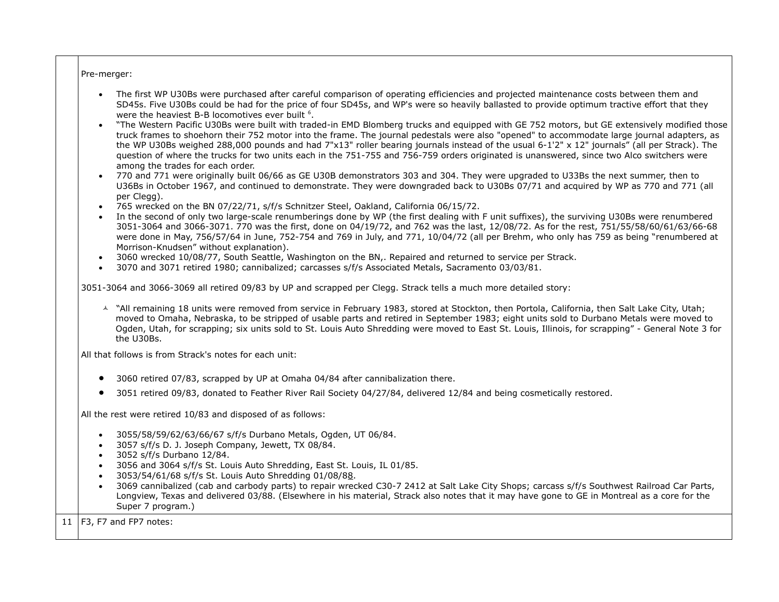Pre-merger:

- The first WP U30Bs were purchased after careful comparison of operating efficiencies and projected maintenance costs between them and SD45s. Five U30Bs could be had for the price of four SD45s, and WP's were so heavily ballasted to provide optimum tractive effort that they were the heaviest B-B locomotives ever built <sup>6</sup>.
- "The Western Pacific U30Bs were built with traded-in EMD Blomberg trucks and equipped with GE 752 motors, but GE extensively modified those truck frames to shoehorn their 752 motor into the frame. The journal pedestals were also "opened" to accommodate large journal adapters, as the WP U30Bs weighed 288,000 pounds and had 7"x13" roller bearing journals instead of the usual 6-1'2" x 12" journals" (all per Strack). The question of where the trucks for two units each in the 751-755 and 756-759 orders originated is unanswered, since two Alco switchers were among the trades for each order.
- 770 and 771 were originally built 06/66 as GE U30B demonstrators 303 and 304. They were upgraded to U33Bs the next summer, then to U36Bs in October 1967, and continued to demonstrate. They were downgraded back to U30Bs 07/71 and acquired by WP as 770 and 771 (all per Clegg).
- 765 wrecked on the BN 07/22/71, s/f/s Schnitzer Steel, Oakland, California 06/15/72.
- In the second of only two large-scale renumberings done by WP (the first dealing with F unit suffixes), the surviving U30Bs were renumbered 3051-3064 and 3066-3071. 770 was the first, done on 04/19/72, and 762 was the last, 12/08/72. As for the rest, 751/55/58/60/61/63/66-68 were done in May, 756/57/64 in June, 752-754 and 769 in July, and 771, 10/04/72 (all per Brehm, who only has 759 as being "renumbered at Morrison-Knudsen" without explanation).
- 3060 wrecked 10/08/77, South Seattle, Washington on the BN,. Repaired and returned to service per Strack.
- 3070 and 3071 retired 1980; cannibalized; carcasses s/f/s Associated Metals, Sacramento 03/03/81.

3051-3064 and 3066-3069 all retired 09/83 by UP and scrapped per Clegg. Strack tells a much more detailed story:

A "All remaining 18 units were removed from service in February 1983, stored at Stockton, then Portola, California, then Salt Lake City, Utah: moved to Omaha, Nebraska, to be stripped of usable parts and retired in September 1983; eight units sold to Durbano Metals were moved to Ogden, Utah, for scrapping; six units sold to St. Louis Auto Shredding were moved to East St. Louis, Illinois, for scrapping" - General Note 3 for the U30Bs.

All that follows is from Strack's notes for each unit:

- 3060 retired 07/83, scrapped by UP at Omaha 04/84 after cannibalization there.
- 3051 retired 09/83, donated to Feather River Rail Society 04/27/84, delivered 12/84 and being cosmetically restored.

All the rest were retired 10/83 and disposed of as follows:

- 3055/58/59/62/63/66/67 s/f/s Durbano Metals, Ogden, UT 06/84.
- 3057 s/f/s D. J. Joseph Company, Jewett, TX 08/84.
- 3052 s/f/s Durbano 12/84.
- 3056 and 3064 s/f/s St. Louis Auto Shredding, East St. Louis, IL 01/85.
- 3053/54/61/68 s/f/s St. Louis Auto Shredding 01/08/88.
- 3069 cannibalized (cab and carbody parts) to repair wrecked C30-7 2412 at Salt Lake City Shops; carcass s/f/s Southwest Railroad Car Parts, Longview, Texas and delivered 03/88. (Elsewhere in his material, Strack also notes that it may have gone to GE in Montreal as a core for the Super 7 program.)

11  $F3$ , F7 and FP7 notes: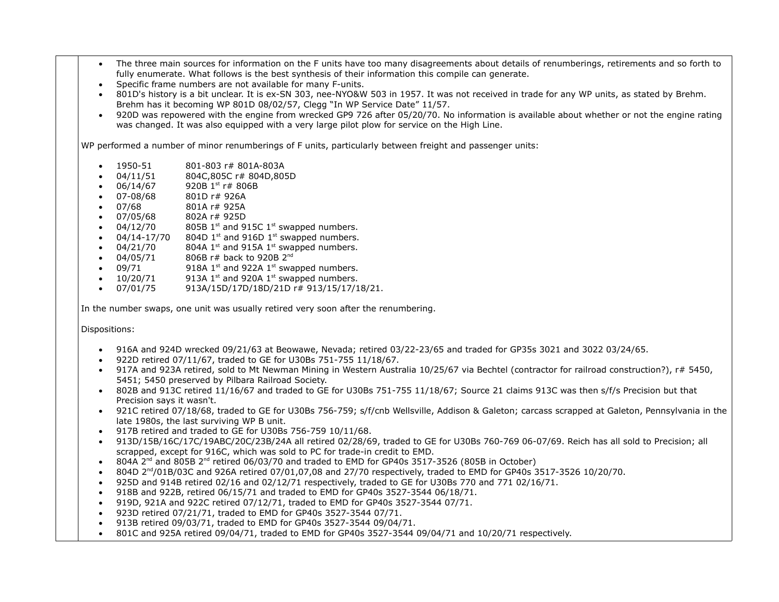- The three main sources for information on the F units have too many disagreements about details of renumberings, retirements and so forth to fully enumerate. What follows is the best synthesis of their information this compile can generate.
- Specific frame numbers are not available for many F-units.
- 801D's history is a bit unclear. It is ex-SN 303, nee-NYO&W 503 in 1957. It was not received in trade for any WP units, as stated by Brehm. Brehm has it becoming WP 801D 08/02/57, Clegg "In WP Service Date" 11/57.
- 920D was repowered with the engine from wrecked GP9 726 after 05/20/70. No information is available about whether or not the engine rating was changed. It was also equipped with a very large pilot plow for service on the High Line.

WP performed a number of minor renumberings of F units, particularly between freight and passenger units:

- 1950-51 801-803 r# 801A-803A
- 04/11/51 804C,805C r# 804D,805D
- $\bullet$  06/14/67 920B 1st r#806B
- 07-08/68 801D r# 926A
- 07/68 801A r# 925A
- 07/05/68 802A r# 925D
- $\bullet$  04/12/70 805B 1<sup>st</sup> and 915C 1<sup>st</sup> swapped numbers.
- 04/14-17/70 804D 1st and 916D 1st swapped numbers.
- $\bullet$  04/21/70 804A 1<sup>st</sup> and 915A 1<sup>st</sup> swapped numbers.
- $\bullet$  04/05/71 806B r# back to 920B 2<sup>nd</sup>
- $\bullet$  09/71 918A 1st and 922A 1st swapped numbers.
- $\bullet$  10/20/71 913A 1<sup>st</sup> and 920A 1<sup>st</sup> swapped numbers.
- $\bullet$  07/01/75 913A/15D/17D/18D/21D r# 913/15/17/18/21.

In the number swaps, one unit was usually retired very soon after the renumbering.

#### Dispositions:

- 916A and 924D wrecked 09/21/63 at Beowawe, Nevada; retired 03/22-23/65 and traded for GP35s 3021 and 3022 03/24/65.
- 922D retired 07/11/67, traded to GE for U30Bs 751-755 11/18/67.
- 917A and 923A retired, sold to Mt Newman Mining in Western Australia 10/25/67 via Bechtel (contractor for railroad construction?), r# 5450, 5451; 5450 preserved by Pilbara Railroad Society.
- 802B and 913C retired 11/16/67 and traded to GE for U30Bs 751-755 11/18/67; Source 21 claims 913C was then s/f/s Precision but that Precision says it wasn't.
- 921C retired 07/18/68, traded to GE for U30Bs 756-759; s/f/cnb Wellsville, Addison & Galeton; carcass scrapped at Galeton, Pennsylvania in the late 1980s, the last surviving WP B unit.
- 917B retired and traded to GE for U30Bs 756-759 10/11/68.
- 913D/15B/16C/17C/19ABC/20C/23B/24A all retired 02/28/69, traded to GE for U30Bs 760-769 06-07/69. Reich has all sold to Precision; all scrapped, except for 916C, which was sold to PC for trade-in credit to EMD.
- $\bullet$  804A 2<sup>nd</sup> and 805B 2<sup>nd</sup> retired 06/03/70 and traded to EMD for GP40s 3517-3526 (805B in October)
- $\bullet$  804D 2<sup>nd</sup>/01B/03C and 926A retired 07/01,07,08 and 27/70 respectively, traded to EMD for GP40s 3517-3526 10/20/70.
- 925D and 914B retired 02/16 and 02/12/71 respectively, traded to GE for U30Bs 770 and 771 02/16/71.
- $918B$  and 922B, retired 06/15/71 and traded to EMD for GP40s 3527-3544 06/18/71.
- 919D, 921A and 922C retired 07/12/71, traded to EMD for GP40s 3527-3544 07/71.
- 923D retired 07/21/71, traded to EMD for GP40s 3527-3544 07/71.
- 913B retired 09/03/71, traded to EMD for GP40s 3527-3544 09/04/71.
- 801C and 925A retired 09/04/71, traded to EMD for GP40s 3527-3544 09/04/71 and 10/20/71 respectively.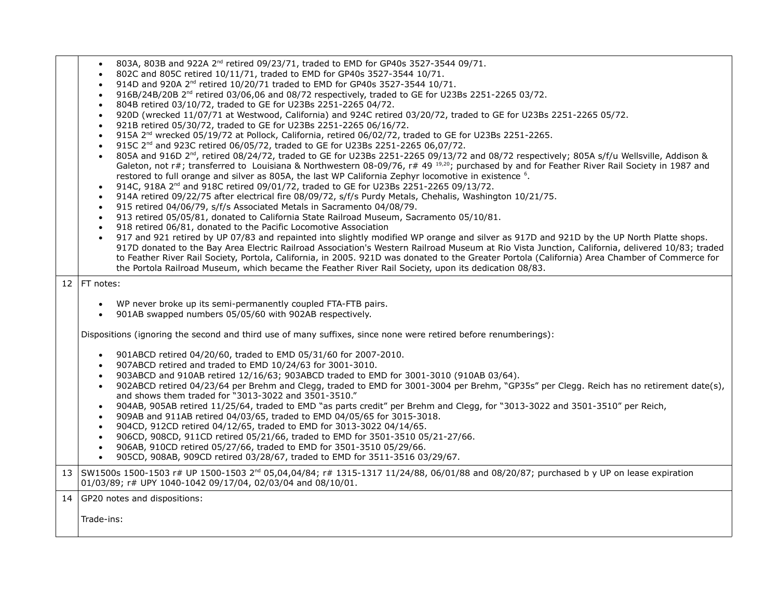- $\bullet$  803A, 803B and 922A 2<sup>nd</sup> retired 09/23/71, traded to EMD for GP40s 3527-3544 09/71.
- 802C and 805C retired 10/11/71, traded to EMD for GP40s 3527-3544 10/71.
- $\bullet$  914D and 920A 2<sup>nd</sup> retired 10/20/71 traded to EMD for GP40s 3527-3544 10/71.
- $\bullet$  916B/24B/20B 2<sup>nd</sup> retired 03/06,06 and 08/72 respectively, traded to GE for U23Bs 2251-2265 03/72.
- 804B retired 03/10/72, traded to GE for U23Bs 2251-2265 04/72.
- 920D (wrecked 11/07/71 at Westwood, California) and 924C retired 03/20/72, traded to GE for U23Bs 2251-2265 05/72.
- 921B retired 05/30/72, traded to GE for U23Bs 2251-2265 06/16/72.
- 915A 2<sup>nd</sup> wrecked 05/19/72 at Pollock, California, retired 06/02/72, traded to GE for U23Bs 2251-2265.
- $\bullet$  915C 2<sup>nd</sup> and 923C retired 06/05/72, traded to GE for U23Bs 2251-2265 06,07/72.
- 805A and 916D 2<sup>nd</sup>, retired 08/24/72, traded to GE for U23Bs 2251-2265 09/13/72 and 08/72 respectively; 805A s/f/u Wellsville, Addison & Galeton, not r#; transferred to Louisiana & Northwestern 08-09/76, r# 49  $^{19,20}$ ; purchased by and for Feather River Rail Society in 1987 and restored to full orange and silver as 805A, the last WP California Zephyr locomotive in existence <sup>6</sup>.
- $914C$ , 918A 2<sup>nd</sup> and 918C retired 09/01/72, traded to GE for U23Bs 2251-2265 09/13/72.
- 914A retired 09/22/75 after electrical fire 08/09/72, s/f/s Purdy Metals, Chehalis, Washington 10/21/75.
- 915 retired 04/06/79, s/f/s Associated Metals in Sacramento 04/08/79.
- 913 retired 05/05/81, donated to California State Railroad Museum, Sacramento 05/10/81.
- 918 retired 06/81, donated to the Pacific Locomotive Association
- 917 and 921 retired by UP 07/83 and repainted into slightly modified WP orange and silver as 917D and 921D by the UP North Platte shops. 917D donated to the Bay Area Electric Railroad Association's Western Railroad Museum at Rio Vista Junction, California, delivered 10/83; traded to Feather River Rail Society, Portola, California, in 2005. 921D was donated to the Greater Portola (California) Area Chamber of Commerce for the Portola Railroad Museum, which became the Feather River Rail Society, upon its dedication 08/83.

12  $|FT$  notes:

- WP never broke up its semi-permanently coupled FTA-FTB pairs.
- 901AB swapped numbers 05/05/60 with 902AB respectively.

Dispositions (ignoring the second and third use of many suffixes, since none were retired before renumberings):

- 901ABCD retired 04/20/60, traded to EMD 05/31/60 for 2007-2010.
- 907ABCD retired and traded to EMD 10/24/63 for 3001-3010.
- 903ABCD and 910AB retired 12/16/63; 903ABCD traded to EMD for 3001-3010 (910AB 03/64).
- 902ABCD retired 04/23/64 per Brehm and Clegg, traded to EMD for 3001-3004 per Brehm, "GP35s" per Clegg. Reich has no retirement date(s), and shows them traded for "3013-3022 and 3501-3510."
- 904AB, 905AB retired 11/25/64, traded to EMD "as parts credit" per Brehm and Clegg, for "3013-3022 and 3501-3510" per Reich,
- 909AB and 911AB retired 04/03/65, traded to EMD 04/05/65 for 3015-3018.
- 904CD, 912CD retired 04/12/65, traded to EMD for 3013-3022 04/14/65.
- 906CD, 908CD, 911CD retired 05/21/66, traded to EMD for 3501-3510 05/21-27/66.
- 906AB, 910CD retired 05/27/66, traded to EMD for 3501-3510 05/29/66.
- 905CD, 908AB, 909CD retired 03/28/67, traded to EMD for 3511-3516 03/29/67.

13 SW1500s 1500-1503 r# UP 1500-1503 2<sup>nd</sup> 05,04,04/84; r# 1315-1317 11/24/88, 06/01/88 and 08/20/87; purchased b y UP on lease expiration 01/03/89; r# UPY 1040-1042 09/17/04, 02/03/04 and 08/10/01.

14 GP20 notes and dispositions:

Trade-ins: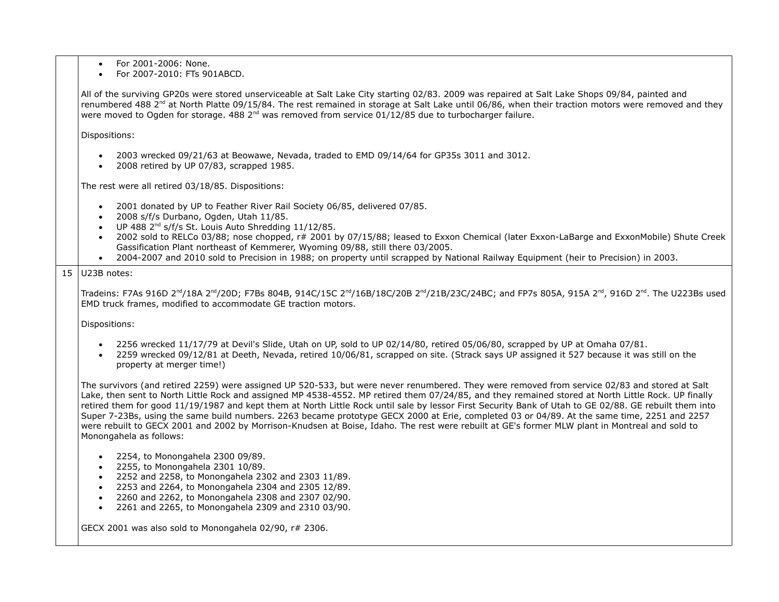- For 2001-2006: None.
- For 2007-2010: FTs 901ABCD.

All of the surviving GP20s were stored unserviceable at Salt Lake City starting 02/83. 2009 was repaired at Salt Lake Shops 09/84, painted and renumbered 488  $2^{nd}$  at North Platte 09/15/84. The rest remained in storage at Salt Lake until 06/86, when their traction motors were removed and they were moved to Ogden for storage. 488  $2^{nd}$  was removed from service 01/12/85 due to turbocharger failure.

Dispositions:

- 2003 wrecked 09/21/63 at Beowawe, Nevada, traded to EMD 09/14/64 for GP35s 3011 and 3012.
- 2008 retired by UP 07/83, scrapped 1985.

The rest were all retired 03/18/85. Dispositions:

- 2001 donated by UP to Feather River Rail Society 06/85, delivered 07/85.
- 2008 s/f/s Durbano, Ogden, Utah 11/85.
- $\bullet$  UP 488 2<sup>nd</sup> s/f/s St. Louis Auto Shredding 11/12/85.
- 2002 sold to RELCo 03/88; nose chopped, r# 2001 by 07/15/88; leased to Exxon Chemical (later Exxon-LaBarge and ExxonMobile) Shute Creek Gassification Plant northeast of Kemmerer, Wyoming 09/88, still there 03/2005.
- 2004-2007 and 2010 sold to Precision in 1988; on property until scrapped by National Railway Equipment (heir to Precision) in 2003.

#### $15$  U23B notes:

Tradeins: F7As 916D 2<sup>nd</sup>/18A 2<sup>nd</sup>/20D; F7Bs 804B, 914C/15C 2<sup>nd</sup>/16B/18C/20B 2<sup>nd</sup>/21B/23C/24BC; and FP7s 805A, 915A 2<sup>nd</sup>, 916D 2<sup>nd</sup>. The U223Bs used EMD truck frames, modified to accommodate GE traction motors.

Dispositions:

- $\bullet$  2256 wrecked 11/17/79 at Devil's Slide, Utah on UP, sold to UP 02/14/80, retired 05/06/80, scrapped by UP at Omaha 07/81.
- 2259 wrecked 09/12/81 at Deeth, Nevada, retired 10/06/81, scrapped on site. (Strack says UP assigned it 527 because it was still on the property at merger time!)

The survivors (and retired 2259) were assigned UP 520-533, but were never renumbered. They were removed from service 02/83 and stored at Salt Lake, then sent to North Little Rock and assigned MP 4538-4552. MP retired them 07/24/85, and they remained stored at North Little Rock. UP finally retired them for good 11/19/1987 and kept them at North Little Rock until sale by lessor First Security Bank of Utah to GE 02/88. GE rebuilt them into Super 7-23Bs, using the same build numbers. 2263 became prototype GECX 2000 at Erie, completed 03 or 04/89. At the same time, 2251 and 2257 were rebuilt to GECX 2001 and 2002 by Morrison-Knudsen at Boise, Idaho. The rest were rebuilt at GE's former MLW plant in Montreal and sold to Monongahela as follows:

- 2254, to Monongahela 2300 09/89.
- 2255, to Monongahela 2301 10/89.
- 2252 and 2258, to Monongahela 2302 and 2303 11/89.
- 2253 and 2264, to Monongahela 2304 and 2305 12/89.
- 2260 and 2262, to Monongahela 2308 and 2307 02/90.
- 2261 and 2265, to Monongahela 2309 and 2310 03/90.

GECX 2001 was also sold to Monongahela 02/90, r# 2306.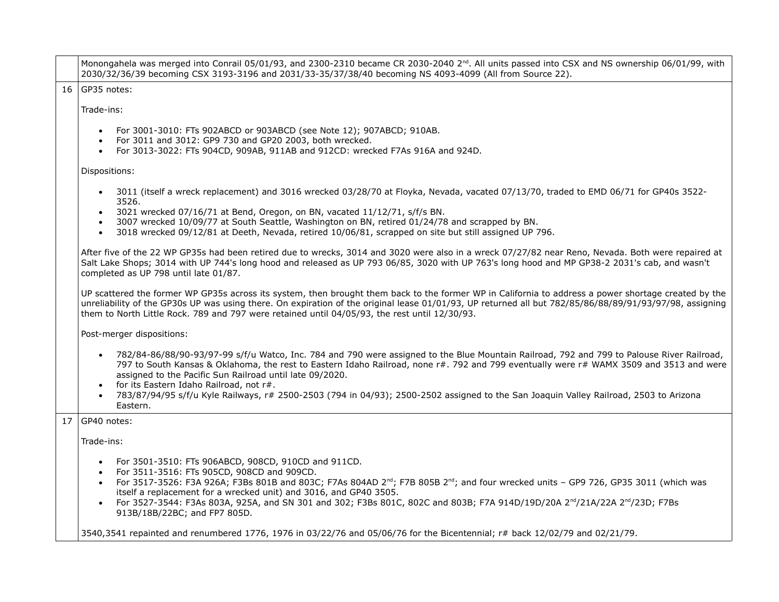|    | Monongahela was merged into Conrail 05/01/93, and 2300-2310 became CR 2030-2040 2 <sup>nd</sup> . All units passed into CSX and NS ownership 06/01/99, with<br>2030/32/36/39 becoming CSX 3193-3196 and 2031/33-35/37/38/40 becoming NS 4093-4099 (All from Source 22).                                                                                                                                          |
|----|------------------------------------------------------------------------------------------------------------------------------------------------------------------------------------------------------------------------------------------------------------------------------------------------------------------------------------------------------------------------------------------------------------------|
|    | 16 GP35 notes:                                                                                                                                                                                                                                                                                                                                                                                                   |
|    | Trade-ins:                                                                                                                                                                                                                                                                                                                                                                                                       |
|    | For 3001-3010: FTs 902ABCD or 903ABCD (see Note 12); 907ABCD; 910AB.<br>For 3011 and 3012: GP9 730 and GP20 2003, both wrecked.<br>$\bullet$                                                                                                                                                                                                                                                                     |
|    | For 3013-3022: FTs 904CD, 909AB, 911AB and 912CD: wrecked F7As 916A and 924D.<br>$\bullet$                                                                                                                                                                                                                                                                                                                       |
|    | Dispositions:                                                                                                                                                                                                                                                                                                                                                                                                    |
|    | 3011 (itself a wreck replacement) and 3016 wrecked 03/28/70 at Floyka, Nevada, vacated 07/13/70, traded to EMD 06/71 for GP40s 3522-<br>$\bullet$<br>3526.                                                                                                                                                                                                                                                       |
|    | 3021 wrecked 07/16/71 at Bend, Oregon, on BN, vacated 11/12/71, s/f/s BN.<br>$\bullet$                                                                                                                                                                                                                                                                                                                           |
|    | 3007 wrecked 10/09/77 at South Seattle, Washington on BN, retired 01/24/78 and scrapped by BN.<br>3018 wrecked 09/12/81 at Deeth, Nevada, retired 10/06/81, scrapped on site but still assigned UP 796.<br>$\bullet$                                                                                                                                                                                             |
|    | After five of the 22 WP GP35s had been retired due to wrecks, 3014 and 3020 were also in a wreck 07/27/82 near Reno, Nevada. Both were repaired at<br>Salt Lake Shops; 3014 with UP 744's long hood and released as UP 793 06/85, 3020 with UP 763's long hood and MP GP38-2 2031's cab, and wasn't<br>completed as UP 798 until late 01/87.                                                                     |
|    | UP scattered the former WP GP35s across its system, then brought them back to the former WP in California to address a power shortage created by the<br>unreliability of the GP30s UP was using there. On expiration of the original lease 01/01/93, UP returned all but 782/85/86/88/89/91/93/97/98, assigning<br>them to North Little Rock. 789 and 797 were retained until 04/05/93, the rest until 12/30/93. |
|    | Post-merger dispositions:                                                                                                                                                                                                                                                                                                                                                                                        |
|    | 782/84-86/88/90-93/97-99 s/f/u Watco, Inc. 784 and 790 were assigned to the Blue Mountain Railroad, 792 and 799 to Palouse River Railroad,<br>797 to South Kansas & Oklahoma, the rest to Eastern Idaho Railroad, none r#. 792 and 799 eventually were r# WAMX 3509 and 3513 and were<br>assigned to the Pacific Sun Railroad until late 09/2020.<br>for its Eastern Idaho Railroad, not r#.<br>$\bullet$        |
|    | 783/87/94/95 s/f/u Kyle Railways, r# 2500-2503 (794 in 04/93); 2500-2502 assigned to the San Joaquin Valley Railroad, 2503 to Arizona<br>Eastern.                                                                                                                                                                                                                                                                |
| 17 | GP40 notes:                                                                                                                                                                                                                                                                                                                                                                                                      |
|    | Trade-ins:                                                                                                                                                                                                                                                                                                                                                                                                       |
|    |                                                                                                                                                                                                                                                                                                                                                                                                                  |
|    | For 3501-3510: FTs 906ABCD, 908CD, 910CD and 911CD.<br>For 3511-3516: FTs 905CD, 908CD and 909CD.<br>$\bullet$                                                                                                                                                                                                                                                                                                   |
|    | For 3517-3526: F3A 926A; F3Bs 801B and 803C; F7As 804AD 2 <sup>nd</sup> ; F7B 805B 2 <sup>nd</sup> ; and four wrecked units - GP9 726, GP35 3011 (which was<br>$\bullet$                                                                                                                                                                                                                                         |
|    | itself a replacement for a wrecked unit) and 3016, and GP40 3505.                                                                                                                                                                                                                                                                                                                                                |
|    | For 3527-3544: F3As 803A, 925A, and SN 301 and 302; F3Bs 801C, 802C and 803B; F7A 914D/19D/20A 2 <sup>nd</sup> /21A/22A 2 <sup>nd</sup> /23D; F7Bs<br>913B/18B/22BC; and FP7 805D.                                                                                                                                                                                                                               |
|    | 3540,3541 repainted and renumbered 1776, 1976 in 03/22/76 and 05/06/76 for the Bicentennial; r# back 12/02/79 and 02/21/79.                                                                                                                                                                                                                                                                                      |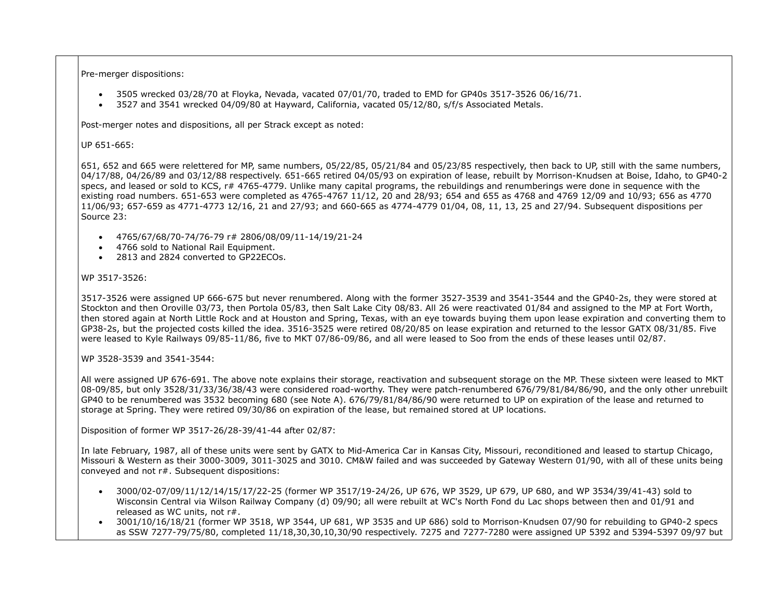Pre-merger dispositions:

- 3505 wrecked 03/28/70 at Floyka, Nevada, vacated 07/01/70, traded to EMD for GP40s 3517-3526 06/16/71.
- 3527 and 3541 wrecked 04/09/80 at Hayward, California, vacated 05/12/80, s/f/s Associated Metals.

Post-merger notes and dispositions, all per Strack except as noted:

### UP 651-665:

651, 652 and 665 were relettered for MP, same numbers, 05/22/85, 05/21/84 and 05/23/85 respectively, then back to UP, still with the same numbers, 04/17/88, 04/26/89 and 03/12/88 respectively. 651-665 retired 04/05/93 on expiration of lease, rebuilt by Morrison-Knudsen at Boise, Idaho, to GP40-2 specs, and leased or sold to KCS, r# 4765-4779. Unlike many capital programs, the rebuildings and renumberings were done in sequence with the existing road numbers. 651-653 were completed as 4765-4767 11/12, 20 and 28/93; 654 and 655 as 4768 and 4769 12/09 and 10/93; 656 as 4770 11/06/93; 657-659 as 4771-4773 12/16, 21 and 27/93; and 660-665 as 4774-4779 01/04, 08, 11, 13, 25 and 27/94. Subsequent dispositions per Source 23:

- 4765/67/68/70-74/76-79 r# 2806/08/09/11-14/19/21-24
- 4766 sold to National Rail Equipment.
- 2813 and 2824 converted to GP22ECOs.

## WP 3517-3526:

3517-3526 were assigned UP 666-675 but never renumbered. Along with the former 3527-3539 and 3541-3544 and the GP40-2s, they were stored at Stockton and then Oroville 03/73, then Portola 05/83, then Salt Lake City 08/83. All 26 were reactivated 01/84 and assigned to the MP at Fort Worth, then stored again at North Little Rock and at Houston and Spring, Texas, with an eye towards buying them upon lease expiration and converting them to GP38-2s, but the projected costs killed the idea. 3516-3525 were retired 08/20/85 on lease expiration and returned to the lessor GATX 08/31/85. Five were leased to Kyle Railways 09/85-11/86, five to MKT 07/86-09/86, and all were leased to Soo from the ends of these leases until 02/87.

## WP 3528-3539 and 3541-3544:

All were assigned UP 676-691. The above note explains their storage, reactivation and subsequent storage on the MP. These sixteen were leased to MKT 08-09/85, but only 3528/31/33/36/38/43 were considered road-worthy. They were patch-renumbered 676/79/81/84/86/90, and the only other unrebuilt GP40 to be renumbered was 3532 becoming 680 (see Note A). 676/79/81/84/86/90 were returned to UP on expiration of the lease and returned to storage at Spring. They were retired 09/30/86 on expiration of the lease, but remained stored at UP locations.

Disposition of former WP 3517-26/28-39/41-44 after 02/87:

In late February, 1987, all of these units were sent by GATX to Mid-America Car in Kansas City, Missouri, reconditioned and leased to startup Chicago, Missouri & Western as their 3000-3009, 3011-3025 and 3010. CM&W failed and was succeeded by Gateway Western 01/90, with all of these units being conveyed and not r#. Subsequent dispositions:

- 3000/02-07/09/11/12/14/15/17/22-25 (former WP 3517/19-24/26, UP 676, WP 3529, UP 679, UP 680, and WP 3534/39/41-43) sold to Wisconsin Central via Wilson Railway Company (d) 09/90; all were rebuilt at WC's North Fond du Lac shops between then and 01/91 and released as WC units, not r#.
- 3001/10/16/18/21 (former WP 3518, WP 3544, UP 681, WP 3535 and UP 686) sold to Morrison-Knudsen 07/90 for rebuilding to GP40-2 specs as SSW 7277-79/75/80, completed 11/18,30,30,10,30/90 respectively. 7275 and 7277-7280 were assigned UP 5392 and 5394-5397 09/97 but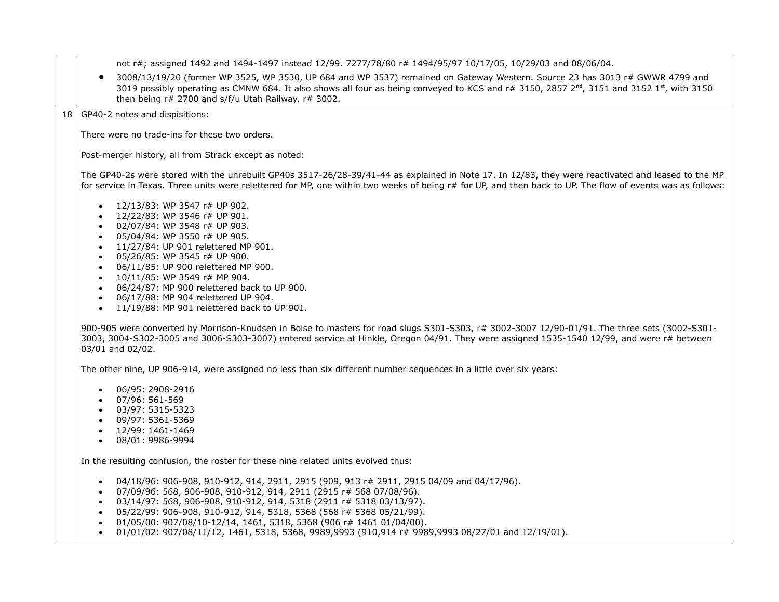|           | 3008/13/19/20 (former WP 3525, WP 3530, UP 684 and WP 3537) remained on Gateway Western. Source 23 has 3013 r# GWWR 4799 and<br>$\bullet$<br>3019 possibly operating as CMNW 684. It also shows all four as being conveyed to KCS and r# 3150, 2857 2 <sup>nd</sup> , 3151 and 3152 1 <sup>st</sup> , with 3150<br>then being r# 2700 and s/f/u Utah Railway, r# 3002. |
|-----------|------------------------------------------------------------------------------------------------------------------------------------------------------------------------------------------------------------------------------------------------------------------------------------------------------------------------------------------------------------------------|
|           | 18 GP40-2 notes and dispisitions:                                                                                                                                                                                                                                                                                                                                      |
|           | There were no trade-ins for these two orders.                                                                                                                                                                                                                                                                                                                          |
|           |                                                                                                                                                                                                                                                                                                                                                                        |
|           | Post-merger history, all from Strack except as noted:                                                                                                                                                                                                                                                                                                                  |
|           | The GP40-2s were stored with the unrebuilt GP40s 3517-26/28-39/41-44 as explained in Note 17. In 12/83, they were reactivated and leased to the MP<br>for service in Texas. Three units were relettered for MP, one within two weeks of being r# for UP, and then back to UP. The flow of events was as follows:                                                       |
|           | 12/13/83: WP 3547 r# UP 902.<br>$\bullet$                                                                                                                                                                                                                                                                                                                              |
|           | 12/22/83: WP 3546 r# UP 901.<br>$\bullet$                                                                                                                                                                                                                                                                                                                              |
|           | 02/07/84: WP 3548 r# UP 903.<br>$\bullet$                                                                                                                                                                                                                                                                                                                              |
|           | 05/04/84: WP 3550 r# UP 905.<br>$\bullet$<br>11/27/84: UP 901 relettered MP 901.<br>$\bullet$                                                                                                                                                                                                                                                                          |
|           | 05/26/85: WP 3545 r# UP 900.<br>$\bullet$                                                                                                                                                                                                                                                                                                                              |
|           | 06/11/85: UP 900 relettered MP 900.<br>$\bullet$                                                                                                                                                                                                                                                                                                                       |
|           | 10/11/85: WP 3549 r# MP 904.<br>$\bullet$                                                                                                                                                                                                                                                                                                                              |
|           | 06/24/87: MP 900 relettered back to UP 900.<br>$\bullet$                                                                                                                                                                                                                                                                                                               |
|           | 06/17/88: MP 904 relettered UP 904.<br>$\bullet$                                                                                                                                                                                                                                                                                                                       |
|           | 11/19/88: MP 901 relettered back to UP 901.<br>$\bullet$                                                                                                                                                                                                                                                                                                               |
|           | 900-905 were converted by Morrison-Knudsen in Boise to masters for road slugs S301-S303, r# 3002-3007 12/90-01/91. The three sets (3002-S301-<br>3003, 3004-S302-3005 and 3006-S303-3007) entered service at Hinkle, Oregon 04/91. They were assigned 1535-1540 12/99, and were r# between<br>03/01 and 02/02.                                                         |
|           | The other nine, UP 906-914, were assigned no less than six different number sequences in a little over six years:                                                                                                                                                                                                                                                      |
|           | 06/95: 2908-2916<br>$\bullet$                                                                                                                                                                                                                                                                                                                                          |
|           | 07/96: 561-569                                                                                                                                                                                                                                                                                                                                                         |
|           | 03/97: 5315-5323<br>$\bullet$                                                                                                                                                                                                                                                                                                                                          |
|           | 09/97: 5361-5369<br>$\bullet$<br>12/99: 1461-1469                                                                                                                                                                                                                                                                                                                      |
|           | 08/01: 9986-9994<br>$\bullet$                                                                                                                                                                                                                                                                                                                                          |
|           |                                                                                                                                                                                                                                                                                                                                                                        |
|           | In the resulting confusion, the roster for these nine related units evolved thus:                                                                                                                                                                                                                                                                                      |
|           | 04/18/96: 906-908, 910-912, 914, 2911, 2915 (909, 913 r# 2911, 2915 04/09 and 04/17/96).<br>$\bullet$                                                                                                                                                                                                                                                                  |
| $\bullet$ | 07/09/96: 568, 906-908, 910-912, 914, 2911 (2915 r# 568 07/08/96).                                                                                                                                                                                                                                                                                                     |

- 03/14/97: 568, 906-908, 910-912, 914, 5318 (2911 r# 5318 03/13/97).
- 05/22/99: 906-908, 910-912, 914, 5318, 5368 (568 r# 5368 05/21/99).
- 01/05/00: 907/08/10-12/14, 1461, 5318, 5368 (906 r# 1461 01/04/00).
- 01/01/02: 907/08/11/12, 1461, 5318, 5368, 9989,9993 (910,914 r# 9989,9993 08/27/01 and 12/19/01).